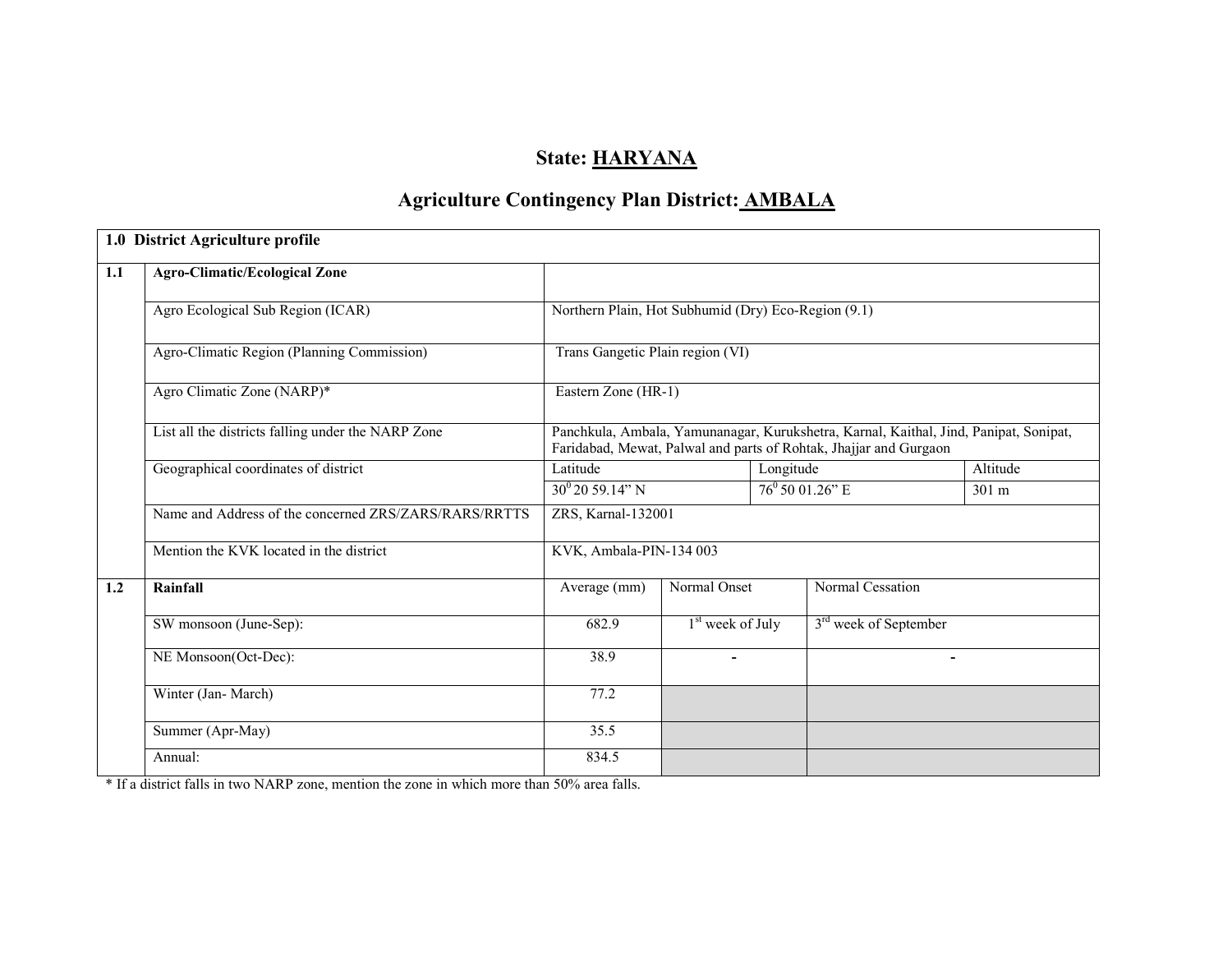# State: HARYANA

# Agriculture Contingency Plan District: AMBALA

|     | 1.0 District Agriculture profile                      |                                                     |                    |           |                                   |                                                                                                                                                            |  |  |
|-----|-------------------------------------------------------|-----------------------------------------------------|--------------------|-----------|-----------------------------------|------------------------------------------------------------------------------------------------------------------------------------------------------------|--|--|
| 1.1 | <b>Agro-Climatic/Ecological Zone</b>                  |                                                     |                    |           |                                   |                                                                                                                                                            |  |  |
|     | Agro Ecological Sub Region (ICAR)                     | Northern Plain, Hot Subhumid (Dry) Eco-Region (9.1) |                    |           |                                   |                                                                                                                                                            |  |  |
|     | Agro-Climatic Region (Planning Commission)            | Trans Gangetic Plain region (VI)                    |                    |           |                                   |                                                                                                                                                            |  |  |
|     | Agro Climatic Zone (NARP)*                            | Eastern Zone (HR-1)                                 |                    |           |                                   |                                                                                                                                                            |  |  |
|     | List all the districts falling under the NARP Zone    |                                                     |                    |           |                                   | Panchkula, Ambala, Yamunanagar, Kurukshetra, Karnal, Kaithal, Jind, Panipat, Sonipat,<br>Faridabad, Mewat, Palwal and parts of Rohtak, Jhajjar and Gurgaon |  |  |
|     | Geographical coordinates of district                  | Latitude                                            |                    | Longitude |                                   | Altitude                                                                                                                                                   |  |  |
|     |                                                       | $30^0 20 59.14" N$                                  |                    |           | $76^{\circ}$ 50 01.26" E<br>301 m |                                                                                                                                                            |  |  |
|     | Name and Address of the concerned ZRS/ZARS/RARS/RRTTS | ZRS, Karnal-132001                                  |                    |           |                                   |                                                                                                                                                            |  |  |
|     | Mention the KVK located in the district               | KVK, Ambala-PIN-134 003                             |                    |           |                                   |                                                                                                                                                            |  |  |
| 1.2 | Rainfall                                              | Average (mm)                                        | Normal Onset       |           | Normal Cessation                  |                                                                                                                                                            |  |  |
|     | SW monsoon (June-Sep):                                | 682.9                                               | $1st$ week of July |           | 3 <sup>rd</sup> week of September |                                                                                                                                                            |  |  |
|     | NE Monsoon(Oct-Dec):                                  | 38.9                                                | $\blacksquare$     |           |                                   |                                                                                                                                                            |  |  |
|     | Winter (Jan-March)                                    | 77.2                                                |                    |           |                                   |                                                                                                                                                            |  |  |
|     | Summer (Apr-May)                                      | 35.5                                                |                    |           |                                   |                                                                                                                                                            |  |  |
|     | Annual:                                               | 834.5                                               |                    |           |                                   |                                                                                                                                                            |  |  |

\* If a district falls in two NARP zone, mention the zone in which more than 50% area falls.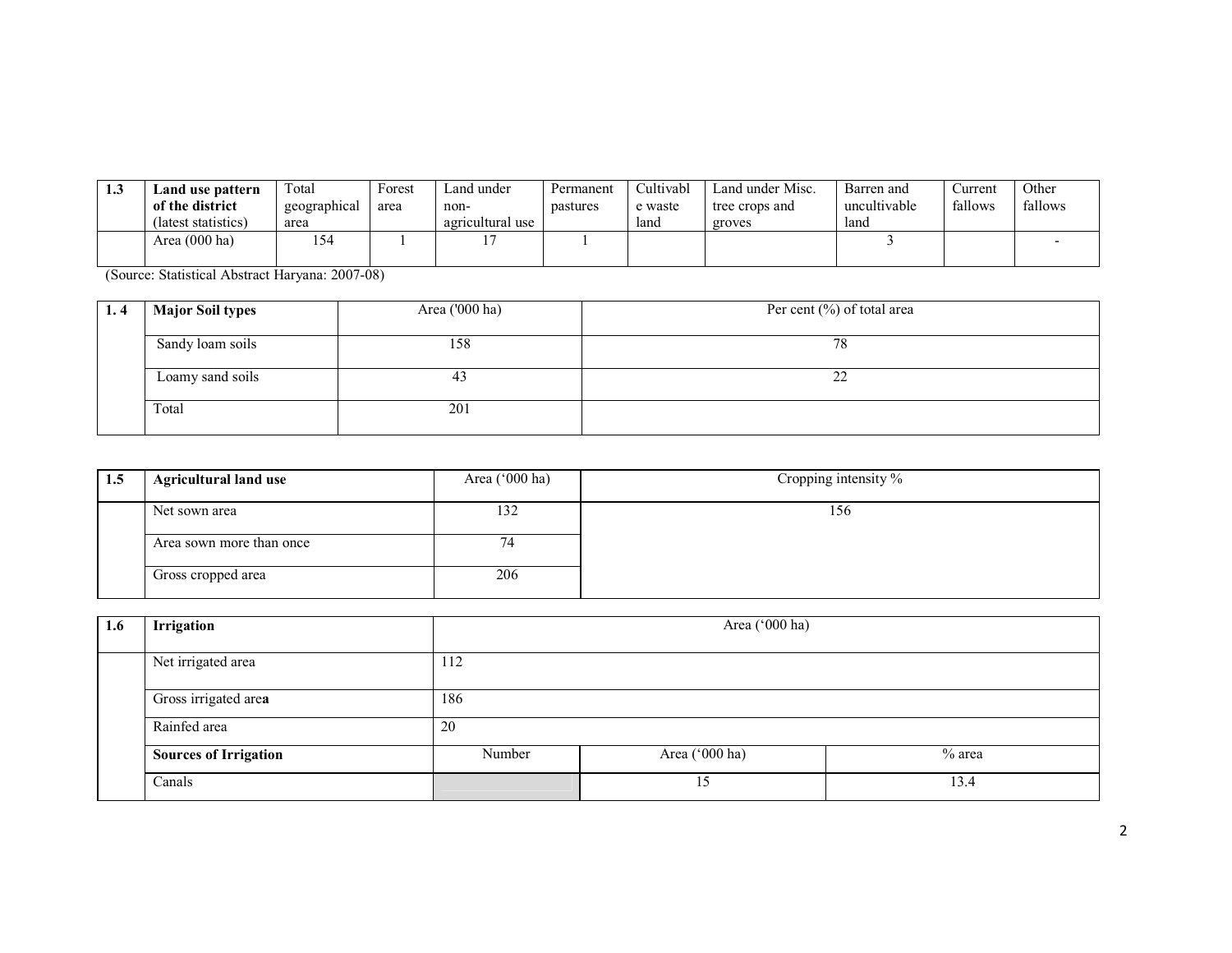| 1.3 | Land use pattern<br>of the district<br>(latest statistics) | ™otal<br>geographical<br>area | Forest<br>area | and under_<br>non-<br>agricultural use | Permanent<br>pastures | Cultivabl<br>e waste<br>land | Land under Misc.<br>tree crops and<br>groves | Barren and<br>uncultivable<br>land | ∠urrent<br>fallows | Other<br>fallows |
|-----|------------------------------------------------------------|-------------------------------|----------------|----------------------------------------|-----------------------|------------------------------|----------------------------------------------|------------------------------------|--------------------|------------------|
|     | Area (000 ha)                                              | . ت                           |                |                                        |                       |                              |                                              |                                    |                    |                  |

(Source: Statistical Abstract Haryana: 2007-08)

| 1.4 | <b>Major Soil types</b> | Area ('000 ha) | Per cent $(\%)$ of total area |
|-----|-------------------------|----------------|-------------------------------|
|     | Sandy loam soils        | 158            | 78                            |
|     |                         |                |                               |
|     | Loamy sand soils        | 43             | nn<br>--                      |
|     |                         |                |                               |
|     | Total                   | 201            |                               |
|     |                         |                |                               |

| 1.5 | <b>Agricultural land use</b> | Area $(^{\circ}000$ ha) | Cropping intensity % |
|-----|------------------------------|-------------------------|----------------------|
|     | Net sown area                | 132                     | 156                  |
|     | Area sown more than once     | 74                      |                      |
|     | Gross cropped area           | 206                     |                      |

| 1.6 | Irrigation                   | Area ('000 ha) |                |        |  |  |  |  |
|-----|------------------------------|----------------|----------------|--------|--|--|--|--|
|     | Net irrigated area           | 112            |                |        |  |  |  |  |
|     | Gross irrigated area         | 186            |                |        |  |  |  |  |
|     | Rainfed area                 | 20             |                |        |  |  |  |  |
|     | <b>Sources of Irrigation</b> | Number         | Area ('000 ha) | % area |  |  |  |  |
|     | Canals                       |                | 15             | 13.4   |  |  |  |  |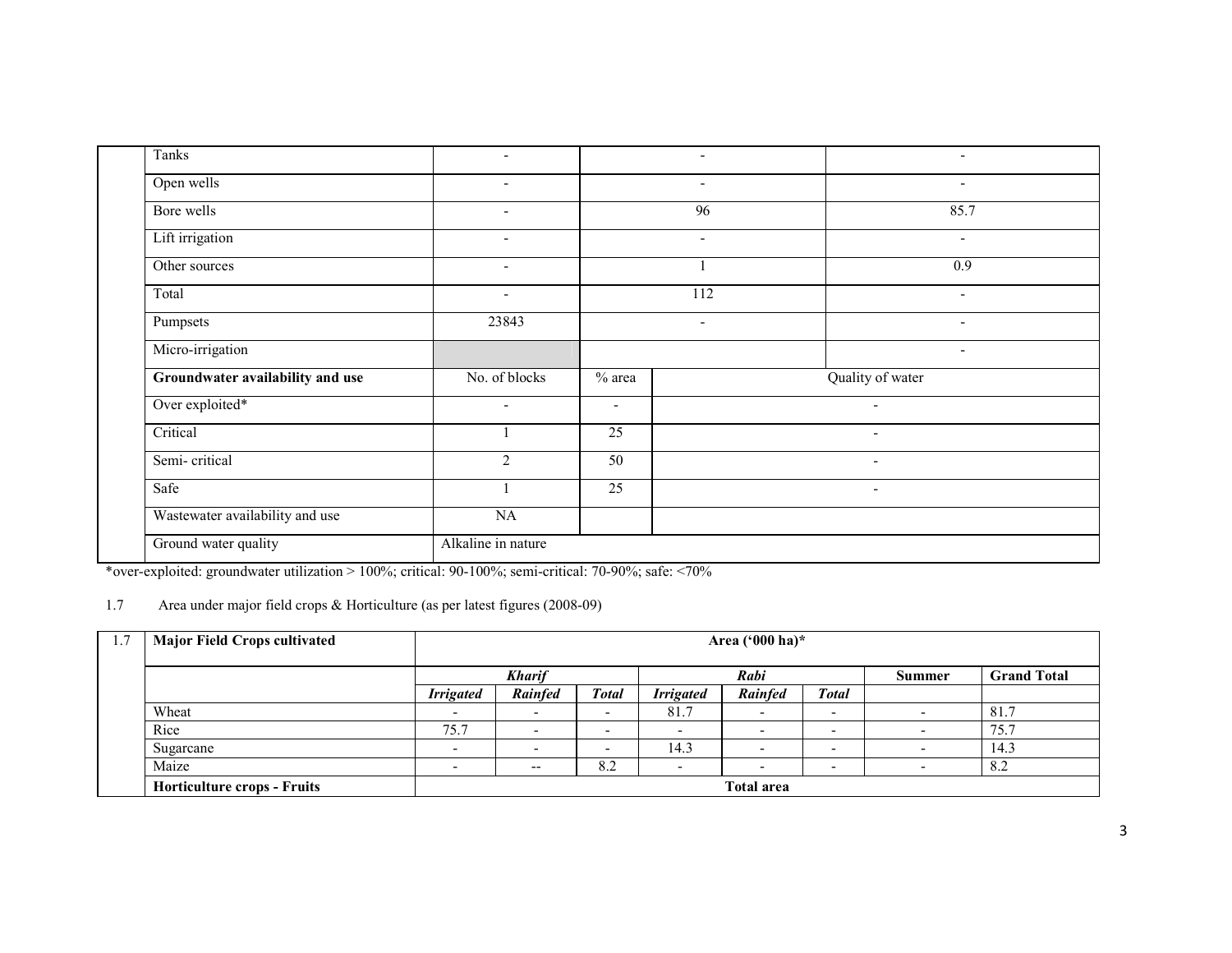| Tanks                            | $\overline{\phantom{a}}$ |                          | $\overline{\phantom{a}}$ | $\overline{\phantom{a}}$ |
|----------------------------------|--------------------------|--------------------------|--------------------------|--------------------------|
| Open wells                       | $\overline{\phantom{a}}$ |                          | $\overline{\phantom{a}}$ | $\overline{\phantom{0}}$ |
| Bore wells                       | $\overline{\phantom{a}}$ |                          | 96                       | 85.7                     |
| Lift irrigation                  | $\overline{\phantom{a}}$ |                          | $\blacksquare$           | $\overline{\phantom{0}}$ |
| Other sources                    | $\blacksquare$           |                          |                          | 0.9                      |
| Total                            | $\overline{\phantom{a}}$ |                          | 112                      | $\overline{\phantom{a}}$ |
| Pumpsets                         | 23843                    |                          | $\overline{\phantom{a}}$ | $\overline{\phantom{a}}$ |
| Micro-irrigation                 |                          |                          |                          | ٠                        |
| Groundwater availability and use | No. of blocks            | $%$ area                 |                          | Quality of water         |
| Over exploited*                  | $\overline{\phantom{a}}$ | $\overline{\phantom{a}}$ |                          |                          |
| Critical                         |                          | 25                       |                          | $\overline{\phantom{a}}$ |
| Semi-critical                    | $\overline{2}$           | 50                       |                          | $\overline{\phantom{0}}$ |
| Safe                             |                          | $\overline{25}$          |                          | $\overline{\phantom{a}}$ |
| Wastewater availability and use  | NA                       |                          |                          |                          |
| Ground water quality             | Alkaline in nature       |                          |                          |                          |
|                                  |                          |                          |                          |                          |

\*over-exploited: groundwater utilization > 100%; critical: 90-100%; semi-critical: 70-90%; safe: <70%

#### 1.7 Area under major field crops & Horticulture (as per latest figures (2008-09)

| 1.7 | <b>Major Field Crops cultivated</b> |                          | Area ('000 ha)* |              |                  |                          |              |                          |                    |  |
|-----|-------------------------------------|--------------------------|-----------------|--------------|------------------|--------------------------|--------------|--------------------------|--------------------|--|
|     |                                     |                          | <b>Kharif</b>   |              |                  | Rabi                     |              | <b>Summer</b>            | <b>Grand Total</b> |  |
|     |                                     | <b>Irrigated</b>         | <b>Rainfed</b>  | <b>Total</b> | <b>Irrigated</b> | <b>Rainfed</b>           | <b>Total</b> |                          |                    |  |
|     | Wheat                               | $\overline{\phantom{0}}$ |                 | -            | 81.7             |                          | -            |                          | 81.7               |  |
|     | Rice                                | 75.7                     | . .             | -            | -                | $\overline{\phantom{a}}$ | -            | $\overline{\phantom{0}}$ | 75.7               |  |
|     | Sugarcane                           | $\overline{\phantom{0}}$ |                 |              | 14.3             | $\overline{\phantom{a}}$ | -            | $\overline{\phantom{0}}$ | 14.3               |  |
|     | Maize                               | $\overline{\phantom{0}}$ | $- -$           | 8.2          | -                | $\overline{\phantom{a}}$ | -            | $\overline{\phantom{0}}$ | 8.2                |  |
|     | <b>Horticulture crops - Fruits</b>  |                          |                 |              |                  | <b>Total area</b>        |              |                          |                    |  |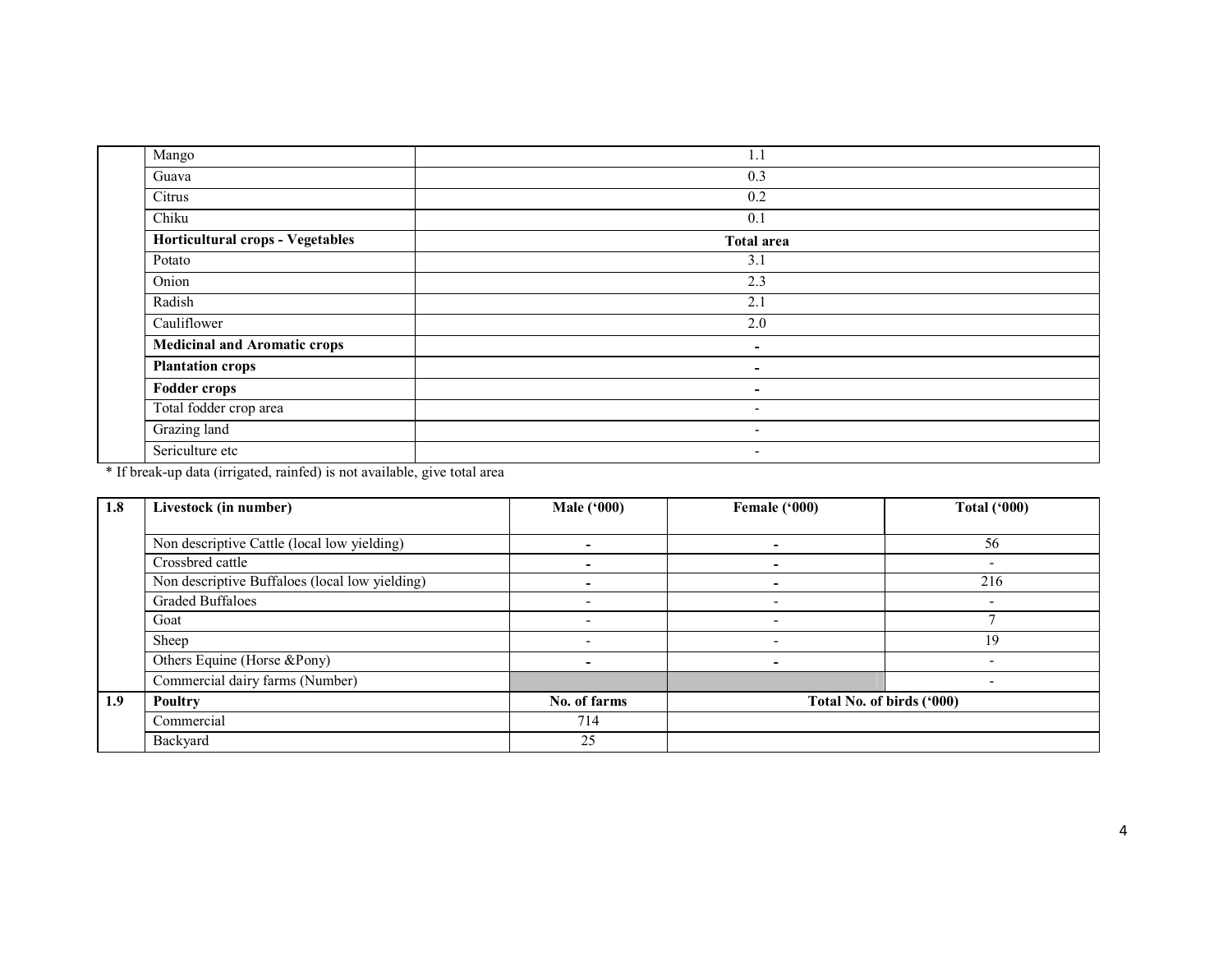| Mango                               | 1.1                      |
|-------------------------------------|--------------------------|
| Guava                               | 0.3                      |
| Citrus                              | 0.2                      |
| Chiku                               | 0.1                      |
| Horticultural crops - Vegetables    | <b>Total area</b>        |
| Potato                              | 3.1                      |
| Onion                               | 2.3                      |
| Radish                              | 2.1                      |
| Cauliflower                         | 2.0                      |
| <b>Medicinal and Aromatic crops</b> | $\overline{\phantom{a}}$ |
| <b>Plantation crops</b>             | $\overline{\phantom{a}}$ |
| <b>Fodder crops</b>                 | $\overline{\phantom{a}}$ |
| Total fodder crop area              | $\overline{\phantom{a}}$ |
| Grazing land                        | $\overline{\phantom{a}}$ |
| Sericulture etc                     | $\overline{\phantom{a}}$ |

\* If break-up data (irrigated, rainfed) is not available, give total area

| 1.8 | Livestock (in number)                          | <b>Male ('000)</b> | Female ('000) | <b>Total ('000)</b>       |
|-----|------------------------------------------------|--------------------|---------------|---------------------------|
|     |                                                |                    |               |                           |
|     | Non descriptive Cattle (local low yielding)    |                    |               | 56                        |
|     | Crossbred cattle                               |                    |               |                           |
|     | Non descriptive Buffaloes (local low yielding) |                    |               | 216                       |
|     | <b>Graded Buffaloes</b>                        |                    |               | $\overline{\phantom{0}}$  |
|     | Goat                                           |                    |               |                           |
|     | Sheep                                          |                    |               | 19                        |
|     | Others Equine (Horse &Pony)                    |                    |               |                           |
|     | Commercial dairy farms (Number)                |                    |               |                           |
| 1.9 | <b>Poultry</b>                                 | No. of farms       |               | Total No. of birds ('000) |
|     | Commercial                                     | 714                |               |                           |
|     | Backyard                                       | 25                 |               |                           |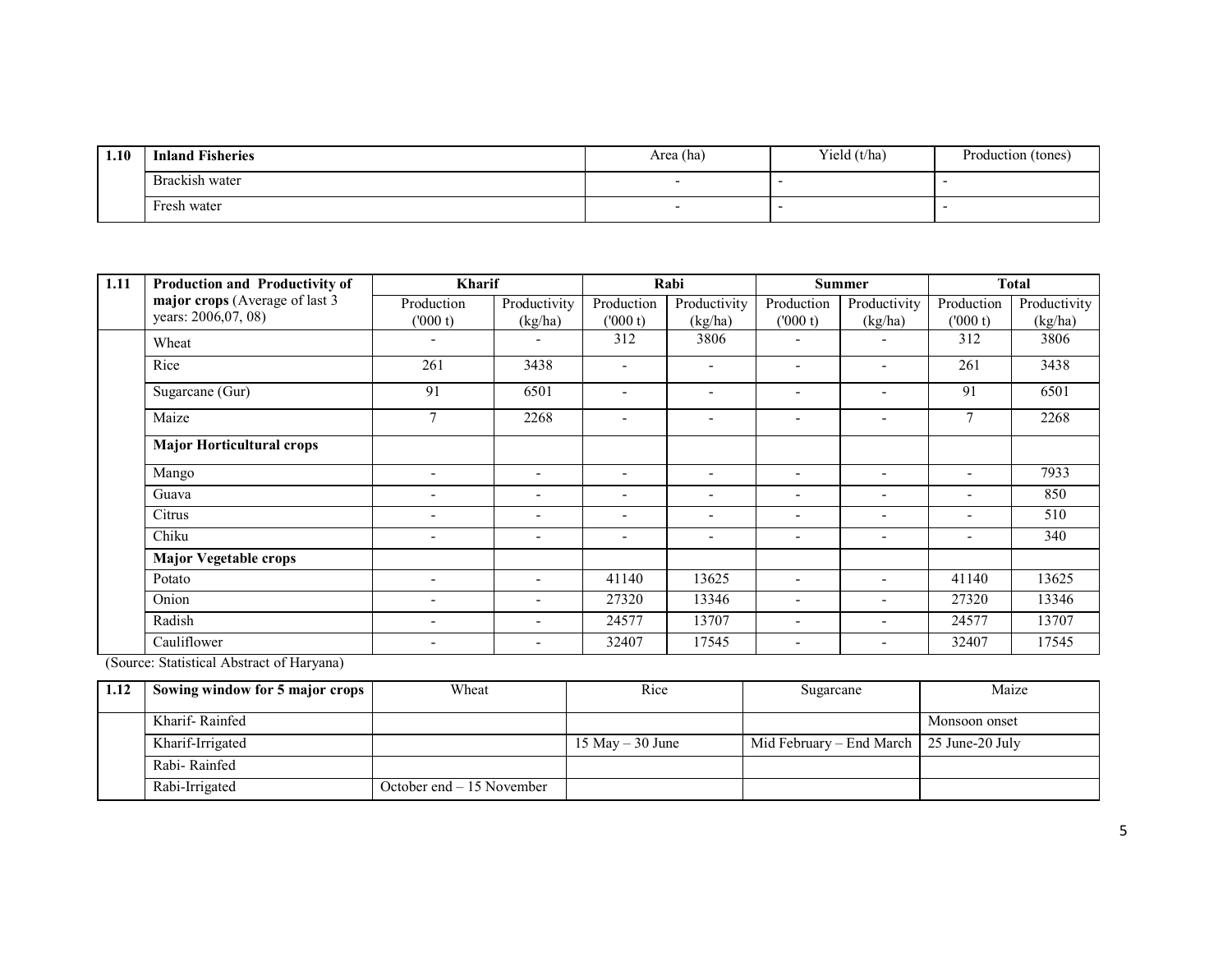| 1.10 | <b>Inland Fisheries</b> | Area (ha) | Yield $(t/ha)$ | Production (tones) |  |
|------|-------------------------|-----------|----------------|--------------------|--|
|      | Brackish water          |           |                |                    |  |
|      | Fresh water             |           |                |                    |  |

| 1.11 | Production and Productivity of   | <b>Kharif</b>            |                          | Rabi                     |                              | <b>Summer</b>                |                          | Total                    |              |
|------|----------------------------------|--------------------------|--------------------------|--------------------------|------------------------------|------------------------------|--------------------------|--------------------------|--------------|
|      | major crops (Average of last 3   | Production               | Productivity             | Production               | Productivity                 | Production                   | Productivity             | Production               | Productivity |
|      | years: 2006,07, 08)              | (000 t)                  | (kg/ha)                  | (000 t)                  | (kg/ha)                      | (000 t)                      | (kg/ha)                  | (000 t)                  | (kg/ha)      |
|      | Wheat                            | $\overline{\phantom{0}}$ |                          | 312                      | 3806                         | $\qquad \qquad \blacksquare$ |                          | 312                      | 3806         |
|      | Rice                             | 261                      | 3438                     | $\blacksquare$           | $\qquad \qquad \blacksquare$ | $\overline{\phantom{a}}$     | $\overline{\phantom{0}}$ | 261                      | 3438         |
|      | Sugarcane (Gur)                  | 91                       | 6501                     | $\overline{\phantom{a}}$ |                              | $\overline{\phantom{a}}$     | $\overline{\phantom{0}}$ | 91                       | 6501         |
|      | Maize                            | 7                        | 2268                     | $\overline{\phantom{a}}$ |                              | $\overline{\phantom{a}}$     | $\overline{\phantom{0}}$ | 7                        | 2268         |
|      | <b>Major Horticultural crops</b> |                          |                          |                          |                              |                              |                          |                          |              |
|      | Mango                            | $\overline{\phantom{0}}$ | ۰                        | $\overline{\phantom{a}}$ | $\overline{\phantom{a}}$     | $\overline{\phantom{a}}$     | $\overline{\phantom{a}}$ | $\overline{\phantom{0}}$ | 7933         |
|      | Guava                            | $\overline{\phantom{0}}$ | -                        | $\overline{\phantom{a}}$ | $\overline{\phantom{a}}$     | $\overline{\phantom{a}}$     | $\overline{\phantom{a}}$ | $\overline{\phantom{0}}$ | 850          |
|      | Citrus                           |                          | -                        | $\overline{\phantom{a}}$ | $\overline{\phantom{a}}$     | $\overline{\phantom{a}}$     | $\overline{\phantom{a}}$ | $\overline{\phantom{a}}$ | 510          |
|      | Chiku                            | $\overline{\phantom{a}}$ | $\overline{\phantom{0}}$ | $\overline{\phantom{a}}$ | -                            | $\overline{\phantom{a}}$     | $\overline{\phantom{a}}$ | $\overline{\phantom{0}}$ | 340          |
|      | Major Vegetable crops            |                          |                          |                          |                              |                              |                          |                          |              |
|      | Potato                           |                          | ۰                        | 41140                    | 13625                        | $\overline{\phantom{0}}$     | $\overline{\phantom{a}}$ | 41140                    | 13625        |
|      | Onion                            | $\overline{\phantom{a}}$ | -                        | 27320                    | 13346                        | ۰                            |                          | 27320                    | 13346        |
|      | Radish                           | $\overline{\phantom{a}}$ | ۰                        | 24577                    | 13707                        | -                            |                          | 24577                    | 13707        |
|      | Cauliflower                      | $\overline{\phantom{a}}$ | -                        | 32407                    | 17545                        | $\overline{\phantom{a}}$     | $\overline{\phantom{a}}$ | 32407                    | 17545        |

(Source: Statistical Abstract of Haryana)

| 1.12 | Sowing window for 5 major crops | Wheat                      | Rice                | Sugarcane                                  | Maize         |
|------|---------------------------------|----------------------------|---------------------|--------------------------------------------|---------------|
|      |                                 |                            |                     |                                            |               |
|      | Kharif-Rainfed                  |                            |                     |                                            | Monsoon onset |
|      | Kharif-Irrigated                |                            | $15$ May $-30$ June | Mid February – End March   25 June-20 July |               |
|      | Rabi-Rainfed                    |                            |                     |                                            |               |
|      | Rabi-Irrigated                  | October end $-15$ November |                     |                                            |               |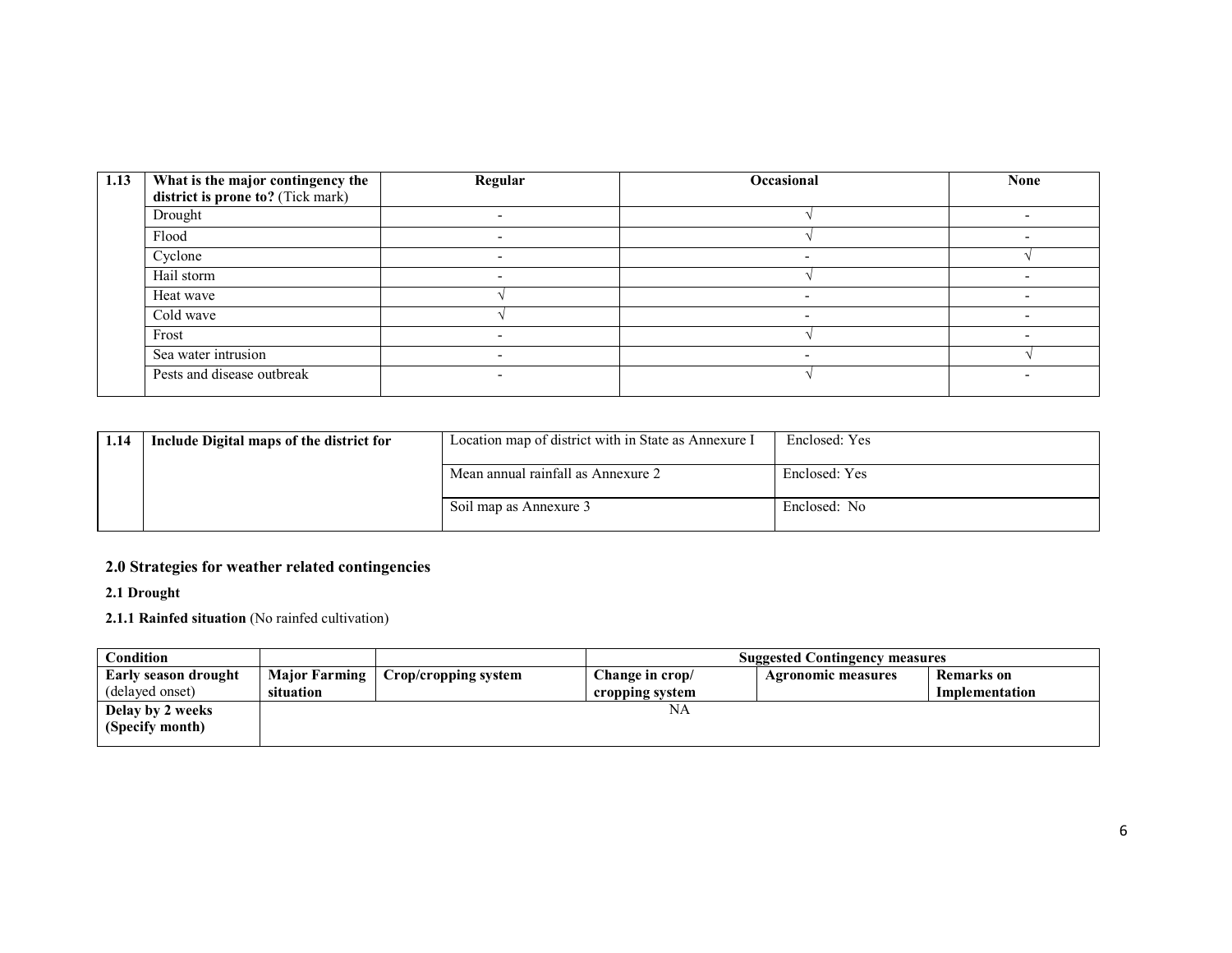| 1.13 | What is the major contingency the<br>district is prone to? (Tick mark) | Regular | Occasional               | <b>None</b> |
|------|------------------------------------------------------------------------|---------|--------------------------|-------------|
|      | Drought                                                                |         |                          |             |
|      | Flood                                                                  |         |                          |             |
|      | Cyclone                                                                |         |                          |             |
|      | Hail storm                                                             |         |                          |             |
|      | Heat wave                                                              |         |                          |             |
|      | Cold wave                                                              |         | $\overline{\phantom{0}}$ |             |
|      | Frost                                                                  |         |                          |             |
|      | Sea water intrusion                                                    |         |                          |             |
|      | Pests and disease outbreak                                             |         |                          |             |

| 1.14 | Include Digital maps of the district for | Location map of district with in State as Annexure I | Enclosed: Yes |
|------|------------------------------------------|------------------------------------------------------|---------------|
|      |                                          | Mean annual rainfall as Annexure 2                   | Enclosed: Yes |
|      |                                          | Soil map as Annexure 3                               | Enclosed: No  |

### 2.0 Strategies for weather related contingencies

2.1 Drought

2.1.1 Rainfed situation (No rainfed cultivation)

| Condition                   |           |                                      |                 | <b>Suggested Contingency measures</b> |                   |
|-----------------------------|-----------|--------------------------------------|-----------------|---------------------------------------|-------------------|
| <b>Early season drought</b> |           | Major Farming   Crop/cropping system | Change in crop/ | Agronomic measures                    | <b>Remarks</b> on |
| (delayed onset)             | situation |                                      | cropping system |                                       | Implementation    |
| Delay by 2 weeks            |           |                                      | NA              |                                       |                   |
| (Specify month)             |           |                                      |                 |                                       |                   |
|                             |           |                                      |                 |                                       |                   |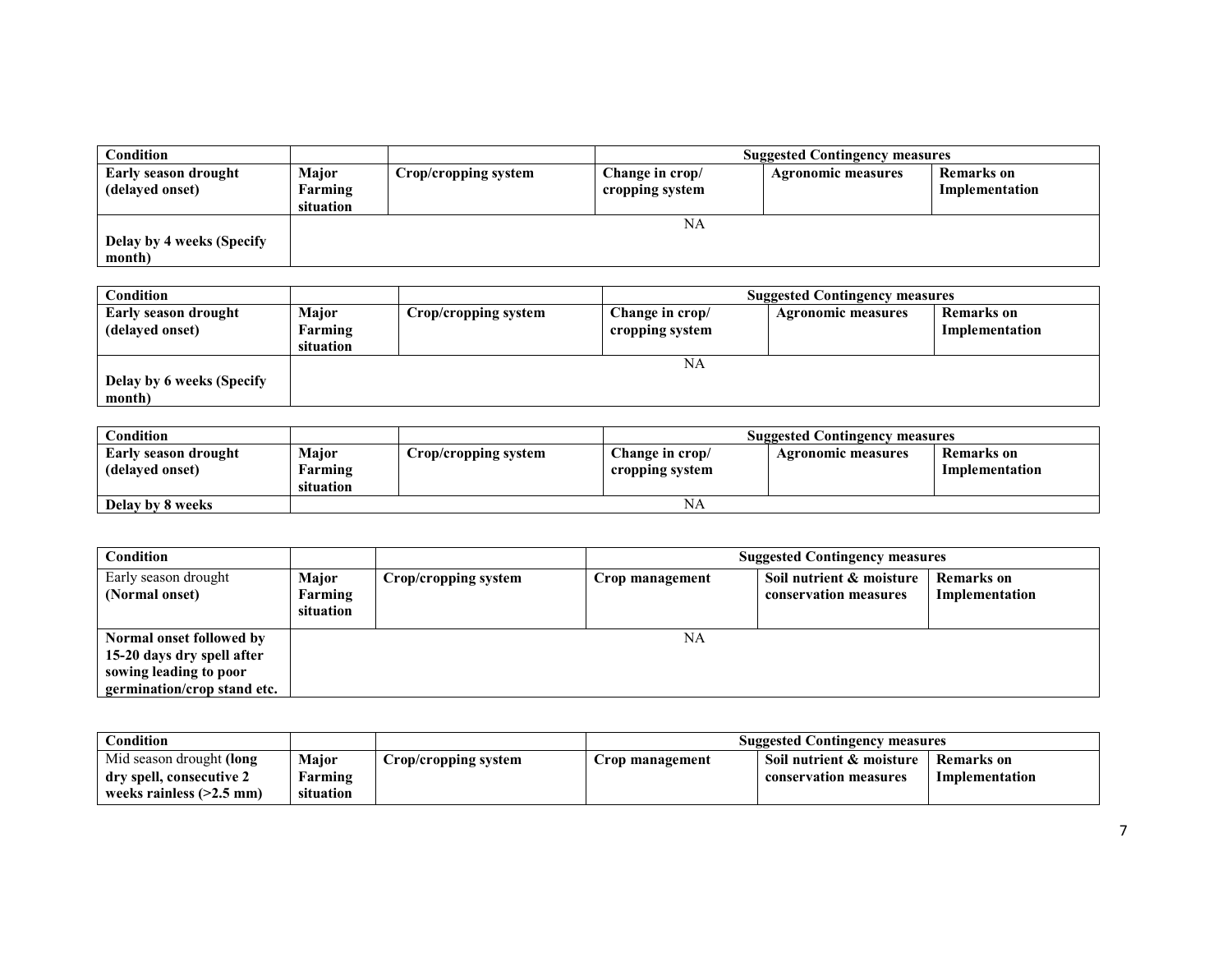| Condition                   |              |                      |                 | <b>Suggested Contingency measures</b> |                |
|-----------------------------|--------------|----------------------|-----------------|---------------------------------------|----------------|
| <b>Early season drought</b> | <b>Major</b> | Crop/cropping system | Change in crop/ | <b>Agronomic measures</b>             | Remarks on     |
| (delayed onset)             | Farming      |                      | cropping system |                                       | Implementation |
|                             | situation    |                      |                 |                                       |                |
|                             |              |                      | NA              |                                       |                |
| Delay by 4 weeks (Specify   |              |                      |                 |                                       |                |
| month)                      |              |                      |                 |                                       |                |

| <b>Condition</b>                        |                               |                      | <b>Suggested Contingency measures</b> |                           |                                     |
|-----------------------------------------|-------------------------------|----------------------|---------------------------------------|---------------------------|-------------------------------------|
| Early season drought<br>(delayed onset) | Major<br>Farming<br>situation | Crop/cropping system | Change in crop/<br>cropping system    | <b>Agronomic measures</b> | <b>Remarks</b> on<br>Implementation |
| Delay by 6 weeks (Specify<br>month)     |                               |                      | NA                                    |                           |                                     |

| $\complement$ ondition                         |                               |                      | <b>Suggested Contingency measures</b> |                    |                              |
|------------------------------------------------|-------------------------------|----------------------|---------------------------------------|--------------------|------------------------------|
| <b>Early season drought</b><br>(delayed onset) | Major<br>Farming<br>situation | Crop/cropping system | Change in crop/<br>cropping system    | Agronomic measures | Remarks on<br>Implementation |
| Delay by 8 weeks                               |                               |                      | NΑ                                    |                    |                              |

| Condition                                                                                                       |                                      |                      |                 | <b>Suggested Contingency measures</b>             |                                     |
|-----------------------------------------------------------------------------------------------------------------|--------------------------------------|----------------------|-----------------|---------------------------------------------------|-------------------------------------|
| Early season drought<br>(Normal onset)                                                                          | <b>Major</b><br>Farming<br>situation | Crop/cropping system | Crop management | Soil nutrient & moisture<br>conservation measures | <b>Remarks</b> on<br>Implementation |
| Normal onset followed by<br>15-20 days dry spell after<br>sowing leading to poor<br>germination/crop stand etc. |                                      |                      | NA              |                                                   |                                     |

| $\complement$ ondition                               |                   |                      | <b>Suggested Contingency measures</b> |                                                   |                              |
|------------------------------------------------------|-------------------|----------------------|---------------------------------------|---------------------------------------------------|------------------------------|
| Mid season drought (long<br>dry spell, consecutive 2 | Major<br>arming ! | Crop/cropping system | Crop management                       | Soil nutrient & moisture<br>conservation measures | Remarks on<br>Implementation |
| weeks rainless $(>2.5$ mm)                           | situation         |                      |                                       |                                                   |                              |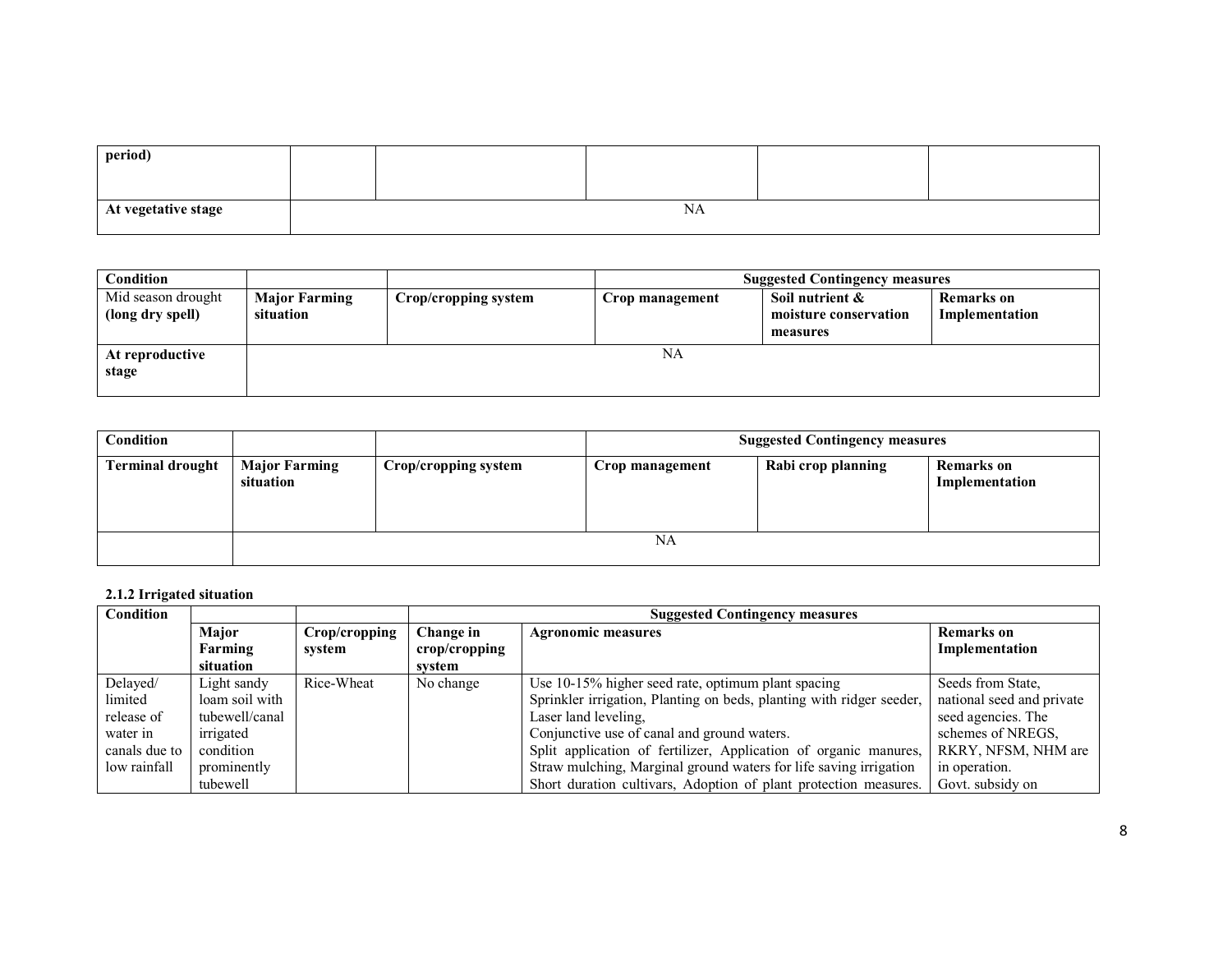| period)             |           |  |  |  |  |
|---------------------|-----------|--|--|--|--|
|                     |           |  |  |  |  |
| At vegetative stage | <b>NA</b> |  |  |  |  |

| Condition                              |                                   |                      | <b>Suggested Contingency measures</b> |                                                      |                              |
|----------------------------------------|-----------------------------------|----------------------|---------------------------------------|------------------------------------------------------|------------------------------|
| Mid season drought<br>(long dry spell) | <b>Major Farming</b><br>situation | Crop/cropping system | Crop management                       | Soil nutrient &<br>moisture conservation<br>measures | Remarks on<br>Implementation |
| At reproductive<br>stage               |                                   |                      | NA                                    |                                                      |                              |

| Condition               |                                   |                      |                 | <b>Suggested Contingency measures</b> |                                     |
|-------------------------|-----------------------------------|----------------------|-----------------|---------------------------------------|-------------------------------------|
| <b>Terminal drought</b> | <b>Major Farming</b><br>situation | Crop/cropping system | Crop management | Rabi crop planning                    | <b>Remarks</b> on<br>Implementation |
|                         |                                   |                      | NA              |                                       |                                     |

#### 2.1.2 Irrigated situation

| <b>Condition</b> |                |               | <b>Suggested Contingency measures</b> |                                                                      |                           |  |
|------------------|----------------|---------------|---------------------------------------|----------------------------------------------------------------------|---------------------------|--|
|                  | Major          | Crop/cropping | Change in                             | <b>Agronomic measures</b>                                            | <b>Remarks</b> on         |  |
|                  | Farming        | system        | $\mathbf{crop/cropping}$              |                                                                      | Implementation            |  |
|                  | situation      |               | svstem                                |                                                                      |                           |  |
| Delayed/         | Light sandy    | Rice-Wheat    | No change                             | Use 10-15% higher seed rate, optimum plant spacing                   | Seeds from State.         |  |
| limited          | loam soil with |               |                                       | Sprinkler irrigation, Planting on beds, planting with ridger seeder, | national seed and private |  |
| release of       | tubewell/canal |               |                                       | Laser land leveling.                                                 | seed agencies. The        |  |
| water in         | irrigated      |               |                                       | Conjunctive use of canal and ground waters.                          | schemes of NREGS,         |  |
| canals due to    | condition      |               |                                       | Split application of fertilizer, Application of organic manures,     | RKRY, NFSM, NHM are       |  |
| low rainfall     | prominently    |               |                                       | Straw mulching, Marginal ground waters for life saving irrigation    | in operation.             |  |
|                  | tubewell       |               |                                       | Short duration cultivars, Adoption of plant protection measures.     | Govt. subsidy on          |  |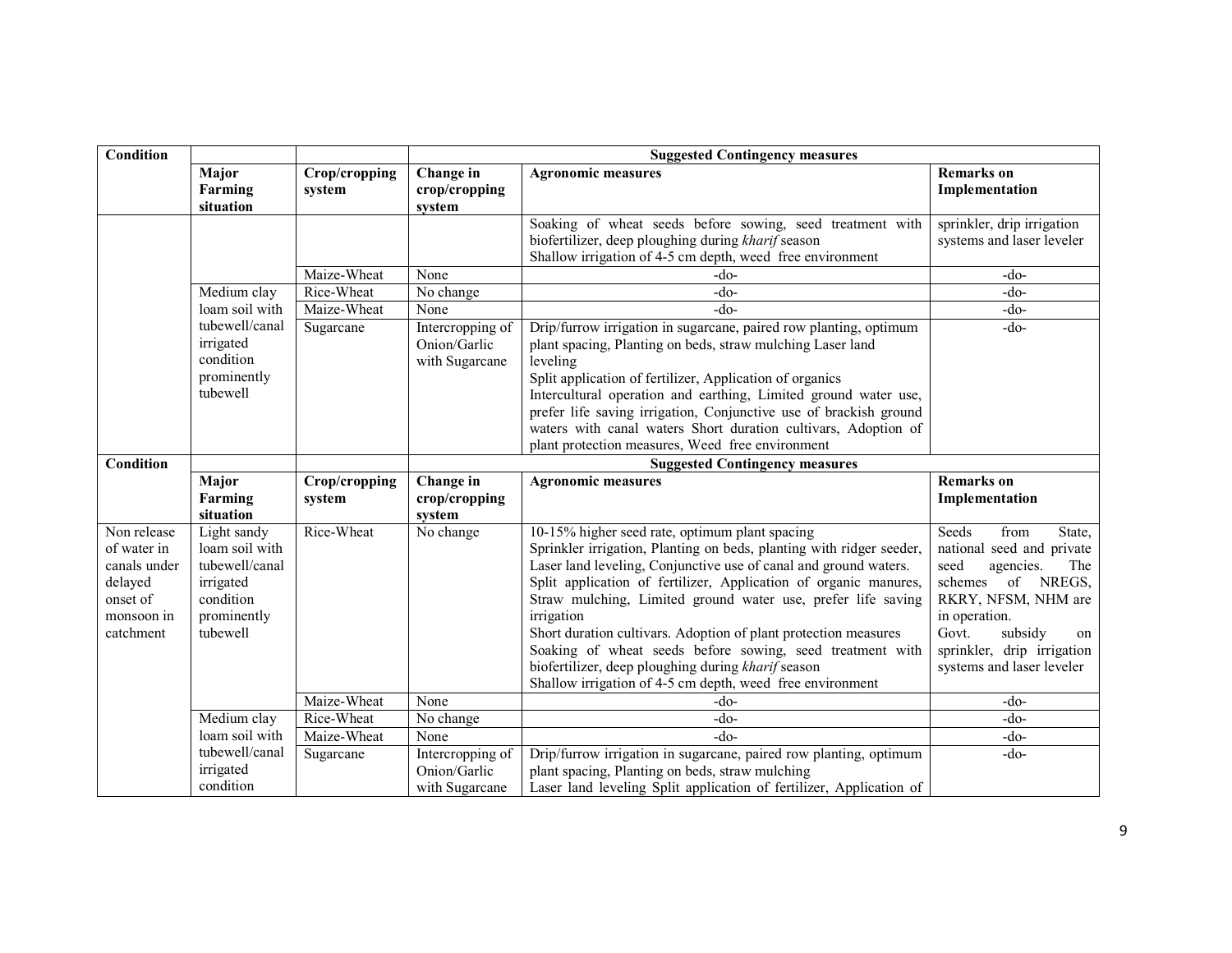| <b>Condition</b>                                                                             |                                                                                                      |                         | <b>Suggested Contingency measures</b>              |                                                                                                                                                                                                                                                                                                                                                                                                                                                                                                                                                                                                 |                                                                                                                                                                                                                                       |  |
|----------------------------------------------------------------------------------------------|------------------------------------------------------------------------------------------------------|-------------------------|----------------------------------------------------|-------------------------------------------------------------------------------------------------------------------------------------------------------------------------------------------------------------------------------------------------------------------------------------------------------------------------------------------------------------------------------------------------------------------------------------------------------------------------------------------------------------------------------------------------------------------------------------------------|---------------------------------------------------------------------------------------------------------------------------------------------------------------------------------------------------------------------------------------|--|
|                                                                                              | Major<br>Farming<br>situation                                                                        | Crop/cropping<br>system | Change in<br>crop/cropping<br>system               | <b>Agronomic measures</b>                                                                                                                                                                                                                                                                                                                                                                                                                                                                                                                                                                       | <b>Remarks</b> on<br>Implementation                                                                                                                                                                                                   |  |
|                                                                                              |                                                                                                      |                         |                                                    | Soaking of wheat seeds before sowing, seed treatment with<br>biofertilizer, deep ploughing during kharif season<br>Shallow irrigation of 4-5 cm depth, weed free environment                                                                                                                                                                                                                                                                                                                                                                                                                    | sprinkler, drip irrigation<br>systems and laser leveler                                                                                                                                                                               |  |
|                                                                                              |                                                                                                      | Maize-Wheat             | None                                               | -do-                                                                                                                                                                                                                                                                                                                                                                                                                                                                                                                                                                                            | -do-                                                                                                                                                                                                                                  |  |
|                                                                                              | Medium clay                                                                                          | Rice-Wheat              | No change                                          | -do-                                                                                                                                                                                                                                                                                                                                                                                                                                                                                                                                                                                            | $-do-$                                                                                                                                                                                                                                |  |
|                                                                                              | loam soil with                                                                                       | Maize-Wheat             | None                                               | $-do-$                                                                                                                                                                                                                                                                                                                                                                                                                                                                                                                                                                                          | $-do-$                                                                                                                                                                                                                                |  |
|                                                                                              | tubewell/canal<br>irrigated<br>condition<br>prominently<br>tubewell                                  | Sugarcane               | Intercropping of<br>Onion/Garlic<br>with Sugarcane | Drip/furrow irrigation in sugarcane, paired row planting, optimum<br>plant spacing, Planting on beds, straw mulching Laser land<br>leveling<br>Split application of fertilizer, Application of organics<br>Intercultural operation and earthing, Limited ground water use,<br>prefer life saving irrigation, Conjunctive use of brackish ground<br>waters with canal waters Short duration cultivars, Adoption of<br>plant protection measures, Weed free environment                                                                                                                           | $-do-$                                                                                                                                                                                                                                |  |
| Condition                                                                                    |                                                                                                      |                         |                                                    | <b>Suggested Contingency measures</b>                                                                                                                                                                                                                                                                                                                                                                                                                                                                                                                                                           |                                                                                                                                                                                                                                       |  |
|                                                                                              | Major<br>Farming<br>situation                                                                        | Crop/cropping<br>system | Change in<br>crop/cropping<br>system               | <b>Agronomic measures</b>                                                                                                                                                                                                                                                                                                                                                                                                                                                                                                                                                                       | <b>Remarks</b> on<br>Implementation                                                                                                                                                                                                   |  |
| Non release<br>of water in<br>canals under<br>delayed<br>onset of<br>monsoon in<br>catchment | Light sandy<br>loam soil with<br>tubewell/canal<br>irrigated<br>condition<br>prominently<br>tubewell | Rice-Wheat              | No change                                          | 10-15% higher seed rate, optimum plant spacing<br>Sprinkler irrigation, Planting on beds, planting with ridger seeder,<br>Laser land leveling, Conjunctive use of canal and ground waters.<br>Split application of fertilizer, Application of organic manures,<br>Straw mulching, Limited ground water use, prefer life saving<br>irrigation<br>Short duration cultivars. Adoption of plant protection measures<br>Soaking of wheat seeds before sowing, seed treatment with<br>biofertilizer, deep ploughing during kharif season<br>Shallow irrigation of 4-5 cm depth, weed free environment | Seeds<br>from<br>State,<br>national seed and private<br>seed<br>agencies.<br>The<br>schemes<br>of NREGS,<br>RKRY, NFSM, NHM are<br>in operation.<br>Govt.<br>subsidy<br>on<br>sprinkler, drip irrigation<br>systems and laser leveler |  |
|                                                                                              |                                                                                                      | Maize-Wheat             | None                                               | -do-                                                                                                                                                                                                                                                                                                                                                                                                                                                                                                                                                                                            | $-do-$                                                                                                                                                                                                                                |  |
|                                                                                              | Medium clay                                                                                          | Rice-Wheat              | No change                                          | -do-                                                                                                                                                                                                                                                                                                                                                                                                                                                                                                                                                                                            | $-do-$                                                                                                                                                                                                                                |  |
|                                                                                              | loam soil with                                                                                       | Maize-Wheat             | None                                               | -do-                                                                                                                                                                                                                                                                                                                                                                                                                                                                                                                                                                                            | -do-                                                                                                                                                                                                                                  |  |
|                                                                                              | tubewell/canal<br>irrigated<br>condition                                                             | Sugarcane               | Intercropping of<br>Onion/Garlic<br>with Sugarcane | Drip/furrow irrigation in sugarcane, paired row planting, optimum<br>plant spacing, Planting on beds, straw mulching<br>Laser land leveling Split application of fertilizer, Application of                                                                                                                                                                                                                                                                                                                                                                                                     | $-do-$                                                                                                                                                                                                                                |  |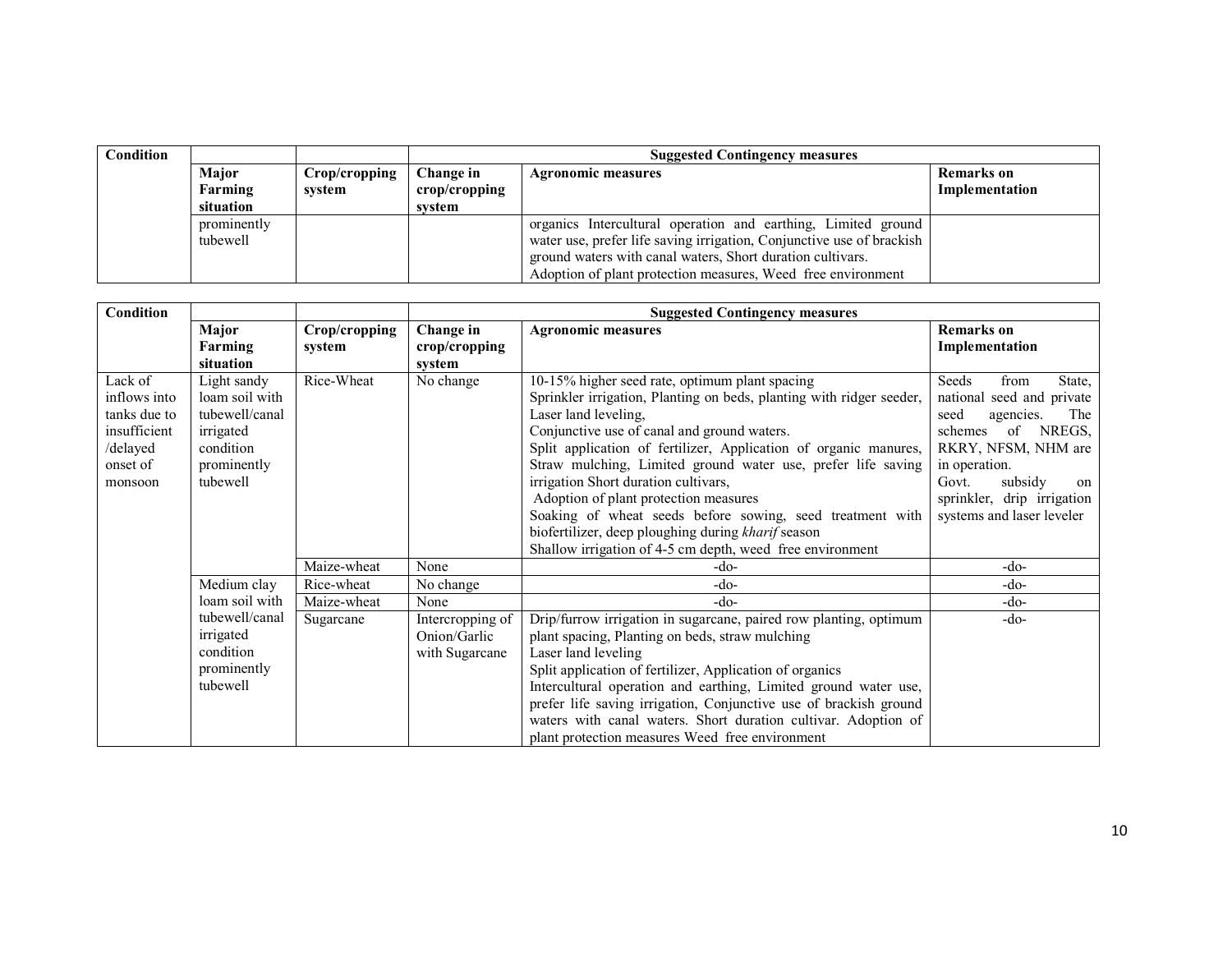| Condition |             |               |               | <b>Suggested Contingency measures</b>                                 |  |  |
|-----------|-------------|---------------|---------------|-----------------------------------------------------------------------|--|--|
|           | Major       | Crop/cropping | Change in     | <b>Remarks</b> on<br>Agronomic measures                               |  |  |
|           | Farming     | system        | crop/cropping | Implementation                                                        |  |  |
|           | situation   |               | svstem        |                                                                       |  |  |
|           | prominently |               |               | organics Intercultural operation and earthing, Limited ground         |  |  |
|           | tubewell    |               |               | water use, prefer life saving irrigation, Conjunctive use of brackish |  |  |
|           |             |               |               | ground waters with canal waters, Short duration cultivars.            |  |  |
|           |             |               |               | Adoption of plant protection measures, Weed free environment          |  |  |

| Condition                                                                                  |                                                                                                      |                         | <b>Suggested Contingency measures</b>                                                                                                                                                                                                                                                                                                                                                                                                                                                                                                                                                                           |                                                                                                                                                                                                                                                                                                                                                                                                                                                                      |                                                                                                                                                                                                                                            |  |
|--------------------------------------------------------------------------------------------|------------------------------------------------------------------------------------------------------|-------------------------|-----------------------------------------------------------------------------------------------------------------------------------------------------------------------------------------------------------------------------------------------------------------------------------------------------------------------------------------------------------------------------------------------------------------------------------------------------------------------------------------------------------------------------------------------------------------------------------------------------------------|----------------------------------------------------------------------------------------------------------------------------------------------------------------------------------------------------------------------------------------------------------------------------------------------------------------------------------------------------------------------------------------------------------------------------------------------------------------------|--------------------------------------------------------------------------------------------------------------------------------------------------------------------------------------------------------------------------------------------|--|
|                                                                                            | Major<br><b>Farming</b><br>situation                                                                 | Crop/cropping<br>system | Change in<br>crop/cropping<br>system                                                                                                                                                                                                                                                                                                                                                                                                                                                                                                                                                                            | <b>Agronomic measures</b>                                                                                                                                                                                                                                                                                                                                                                                                                                            | <b>Remarks</b> on<br>Implementation                                                                                                                                                                                                        |  |
| Lack of<br>inflows into<br>tanks due to<br>insufficient<br>/delayed<br>onset of<br>monsoon | Light sandy<br>loam soil with<br>tubewell/canal<br>irrigated<br>condition<br>prominently<br>tubewell | Rice-Wheat              | 10-15% higher seed rate, optimum plant spacing<br>No change<br>Sprinkler irrigation, Planting on beds, planting with ridger seeder,<br>Laser land leveling.<br>Conjunctive use of canal and ground waters.<br>Split application of fertilizer, Application of organic manures,<br>Straw mulching, Limited ground water use, prefer life saving<br>irrigation Short duration cultivars,<br>Adoption of plant protection measures<br>Soaking of wheat seeds before sowing, seed treatment with<br>biofertilizer, deep ploughing during kharif season<br>Shallow irrigation of 4-5 cm depth, weed free environment |                                                                                                                                                                                                                                                                                                                                                                                                                                                                      | Seeds<br>from<br>State,<br>national seed and private<br>The 1<br>seed<br>agencies.<br>NREGS,<br>schemes<br>of<br>RKRY, NFSM, NHM are<br>in operation.<br>subsidy<br>Govt.<br>on<br>sprinkler, drip irrigation<br>systems and laser leveler |  |
|                                                                                            |                                                                                                      | Maize-wheat             | None                                                                                                                                                                                                                                                                                                                                                                                                                                                                                                                                                                                                            | -do-                                                                                                                                                                                                                                                                                                                                                                                                                                                                 | -do-                                                                                                                                                                                                                                       |  |
|                                                                                            | Medium clay                                                                                          | Rice-wheat              | No change                                                                                                                                                                                                                                                                                                                                                                                                                                                                                                                                                                                                       | -do-                                                                                                                                                                                                                                                                                                                                                                                                                                                                 | -do-                                                                                                                                                                                                                                       |  |
|                                                                                            | loam soil with                                                                                       | Maize-wheat             | None                                                                                                                                                                                                                                                                                                                                                                                                                                                                                                                                                                                                            | -do-                                                                                                                                                                                                                                                                                                                                                                                                                                                                 | -do-                                                                                                                                                                                                                                       |  |
|                                                                                            | tubewell/canal<br>irrigated<br>condition<br>prominently<br>tubewell                                  | Sugarcane               | Intercropping of<br>Onion/Garlic<br>with Sugarcane                                                                                                                                                                                                                                                                                                                                                                                                                                                                                                                                                              | Drip/furrow irrigation in sugarcane, paired row planting, optimum<br>plant spacing, Planting on beds, straw mulching<br>Laser land leveling<br>Split application of fertilizer, Application of organics<br>Intercultural operation and earthing, Limited ground water use,<br>prefer life saving irrigation, Conjunctive use of brackish ground<br>waters with canal waters. Short duration cultivar. Adoption of<br>plant protection measures Weed free environment | -do-                                                                                                                                                                                                                                       |  |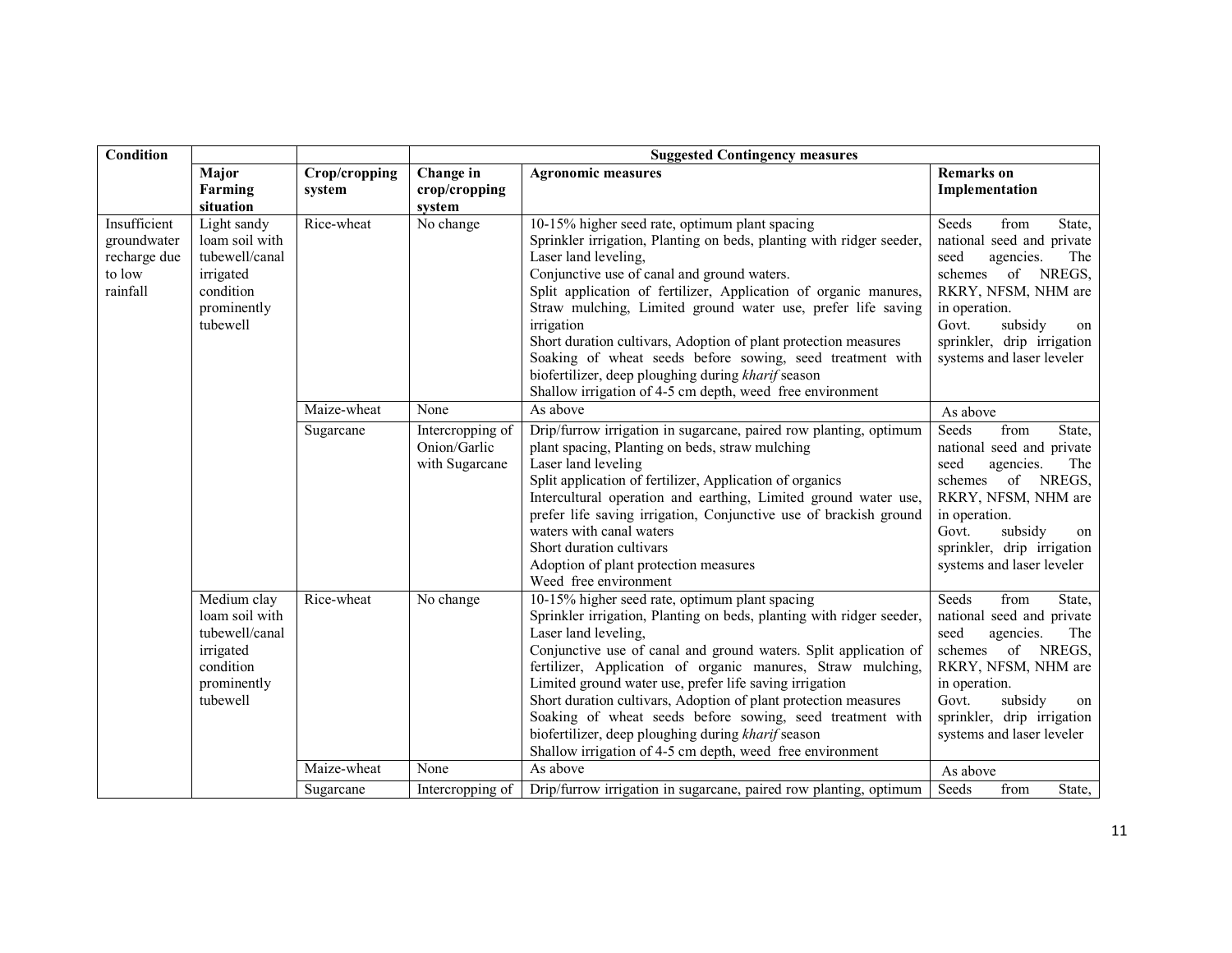| Condition                                                         |                                                                                                      |                                                                                                                                                                                                                                                                                                                                                                                                                                                                                                                                                                                                                               | <b>Suggested Contingency measures</b>              |                                                                                                                                                                                                                                                                                                                                                                                                                                                                                                                                                                                                 |                                                                                                                                                                                                                                          |  |
|-------------------------------------------------------------------|------------------------------------------------------------------------------------------------------|-------------------------------------------------------------------------------------------------------------------------------------------------------------------------------------------------------------------------------------------------------------------------------------------------------------------------------------------------------------------------------------------------------------------------------------------------------------------------------------------------------------------------------------------------------------------------------------------------------------------------------|----------------------------------------------------|-------------------------------------------------------------------------------------------------------------------------------------------------------------------------------------------------------------------------------------------------------------------------------------------------------------------------------------------------------------------------------------------------------------------------------------------------------------------------------------------------------------------------------------------------------------------------------------------------|------------------------------------------------------------------------------------------------------------------------------------------------------------------------------------------------------------------------------------------|--|
|                                                                   | Major<br>Farming<br>situation                                                                        | Crop/cropping<br>system                                                                                                                                                                                                                                                                                                                                                                                                                                                                                                                                                                                                       | Change in<br>crop/cropping<br>system               | <b>Agronomic measures</b>                                                                                                                                                                                                                                                                                                                                                                                                                                                                                                                                                                       | <b>Remarks</b> on<br>Implementation                                                                                                                                                                                                      |  |
| Insufficient<br>groundwater<br>recharge due<br>to low<br>rainfall | Light sandy<br>loam soil with<br>tubewell/canal<br>irrigated<br>condition<br>prominently<br>tubewell | Rice-wheat<br>No change<br>10-15% higher seed rate, optimum plant spacing<br>Sprinkler irrigation, Planting on beds, planting with ridger seeder,<br>Laser land leveling,<br>Conjunctive use of canal and ground waters.<br>Split application of fertilizer, Application of organic manures,<br>Straw mulching, Limited ground water use, prefer life saving<br>irrigation<br>Short duration cultivars, Adoption of plant protection measures<br>Soaking of wheat seeds before sowing, seed treatment with<br>biofertilizer, deep ploughing during kharif season<br>Shallow irrigation of 4-5 cm depth, weed free environment |                                                    | from<br>Seeds<br>State,<br>national seed and private<br>seed<br>The<br>agencies.<br>schemes of NREGS,<br>RKRY, NFSM, NHM are<br>in operation.<br>subsidy<br>Govt.<br>on<br>sprinkler, drip irrigation<br>systems and laser leveler                                                                                                                                                                                                                                                                                                                                                              |                                                                                                                                                                                                                                          |  |
|                                                                   |                                                                                                      | Maize-wheat                                                                                                                                                                                                                                                                                                                                                                                                                                                                                                                                                                                                                   | None                                               | As above                                                                                                                                                                                                                                                                                                                                                                                                                                                                                                                                                                                        | As above                                                                                                                                                                                                                                 |  |
|                                                                   |                                                                                                      | Sugarcane                                                                                                                                                                                                                                                                                                                                                                                                                                                                                                                                                                                                                     | Intercropping of<br>Onion/Garlic<br>with Sugarcane | Drip/furrow irrigation in sugarcane, paired row planting, optimum<br>plant spacing, Planting on beds, straw mulching<br>Laser land leveling<br>Split application of fertilizer, Application of organics<br>Intercultural operation and earthing, Limited ground water use,<br>prefer life saving irrigation, Conjunctive use of brackish ground<br>waters with canal waters<br>Short duration cultivars<br>Adoption of plant protection measures<br>Weed free environment                                                                                                                       | Seeds<br>from<br>State,<br>national seed and private<br>seed<br>agencies.<br>The<br>of<br>NREGS,<br>schemes<br>RKRY, NFSM, NHM are<br>in operation.<br>Govt.<br>subsidy<br>on<br>sprinkler, drip irrigation<br>systems and laser leveler |  |
|                                                                   | Medium clay<br>loam soil with<br>tubewell/canal<br>irrigated<br>condition<br>prominently<br>tubewell | Rice-wheat                                                                                                                                                                                                                                                                                                                                                                                                                                                                                                                                                                                                                    | No change                                          | 10-15% higher seed rate, optimum plant spacing<br>Sprinkler irrigation, Planting on beds, planting with ridger seeder,<br>Laser land leveling,<br>Conjunctive use of canal and ground waters. Split application of<br>fertilizer, Application of organic manures, Straw mulching,<br>Limited ground water use, prefer life saving irrigation<br>Short duration cultivars, Adoption of plant protection measures<br>Soaking of wheat seeds before sowing, seed treatment with<br>biofertilizer, deep ploughing during kharif season<br>Shallow irrigation of 4-5 cm depth, weed free environment | Seeds<br>from<br>State,<br>national seed and private<br>seed<br>agencies.<br>The<br>schemes of NREGS,<br>RKRY, NFSM, NHM are<br>in operation.<br>Govt.<br>subsidy<br>on<br>sprinkler, drip irrigation<br>systems and laser leveler       |  |
|                                                                   |                                                                                                      | Maize-wheat                                                                                                                                                                                                                                                                                                                                                                                                                                                                                                                                                                                                                   | None                                               | As above                                                                                                                                                                                                                                                                                                                                                                                                                                                                                                                                                                                        | As above                                                                                                                                                                                                                                 |  |
|                                                                   |                                                                                                      | Sugarcane                                                                                                                                                                                                                                                                                                                                                                                                                                                                                                                                                                                                                     | Intercropping of                                   | Drip/furrow irrigation in sugarcane, paired row planting, optimum                                                                                                                                                                                                                                                                                                                                                                                                                                                                                                                               | Seeds<br>State,<br>from                                                                                                                                                                                                                  |  |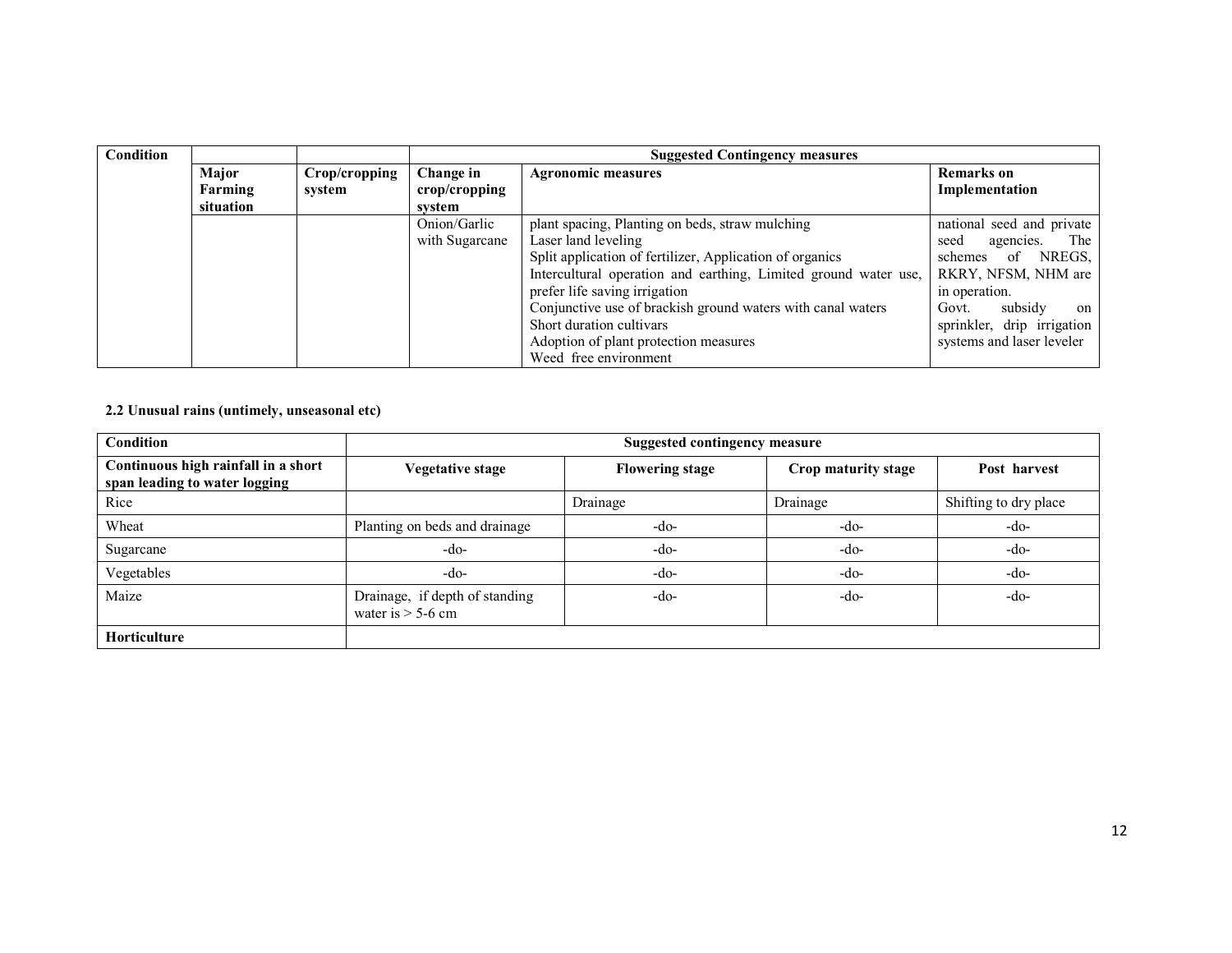| Condition |           |               |                           | <b>Suggested Contingency measures</b>                           |                            |
|-----------|-----------|---------------|---------------------------|-----------------------------------------------------------------|----------------------------|
|           | Major     | Crop/cropping | Change in                 | <b>Agronomic measures</b>                                       | <b>Remarks</b> on          |
|           | Farming   | system        | $\mathbf{crop/c}$ ropping |                                                                 | Implementation             |
|           | situation |               | system                    |                                                                 |                            |
|           |           |               | Onion/Garlic              | plant spacing, Planting on beds, straw mulching                 | national seed and private  |
|           |           |               | with Sugarcane            | Laser land leveling                                             | The<br>agencies.<br>seed   |
|           |           |               |                           | Split application of fertilizer, Application of organics        | NREGS.<br>schemes<br>of    |
|           |           |               |                           | Intercultural operation and earthing, Limited ground water use, | RKRY, NFSM, NHM are        |
|           |           |               |                           | prefer life saving irrigation                                   | in operation.              |
|           |           |               |                           | Conjunctive use of brackish ground waters with canal waters     | subsidy<br>Govt.<br>on     |
|           |           |               |                           | Short duration cultivars                                        | sprinkler, drip irrigation |
|           |           |               |                           | Adoption of plant protection measures                           | systems and laser leveler  |
|           |           |               |                           | Weed free environment                                           |                            |

#### 2.2 Unusual rains (untimely, unseasonal etc)

| Condition                                                            | <b>Suggested contingency measure</b>                  |                        |                     |                       |  |  |
|----------------------------------------------------------------------|-------------------------------------------------------|------------------------|---------------------|-----------------------|--|--|
| Continuous high rainfall in a short<br>span leading to water logging | <b>Vegetative stage</b>                               | <b>Flowering stage</b> | Crop maturity stage | Post harvest          |  |  |
| Rice                                                                 |                                                       | Drainage               | Drainage            | Shifting to dry place |  |  |
| Wheat                                                                | Planting on beds and drainage                         | -do-                   | -do-                | $-do-$                |  |  |
| Sugarcane                                                            | $-do-$                                                | $-do-$                 | $-do-$              | $-do-$                |  |  |
| Vegetables                                                           | $-do-$                                                | $-do-$                 | -do-                | $-do-$                |  |  |
| Maize                                                                | Drainage, if depth of standing<br>water is $>$ 5-6 cm | $-do-$                 | -do-                | $-do-$                |  |  |
| Horticulture                                                         |                                                       |                        |                     |                       |  |  |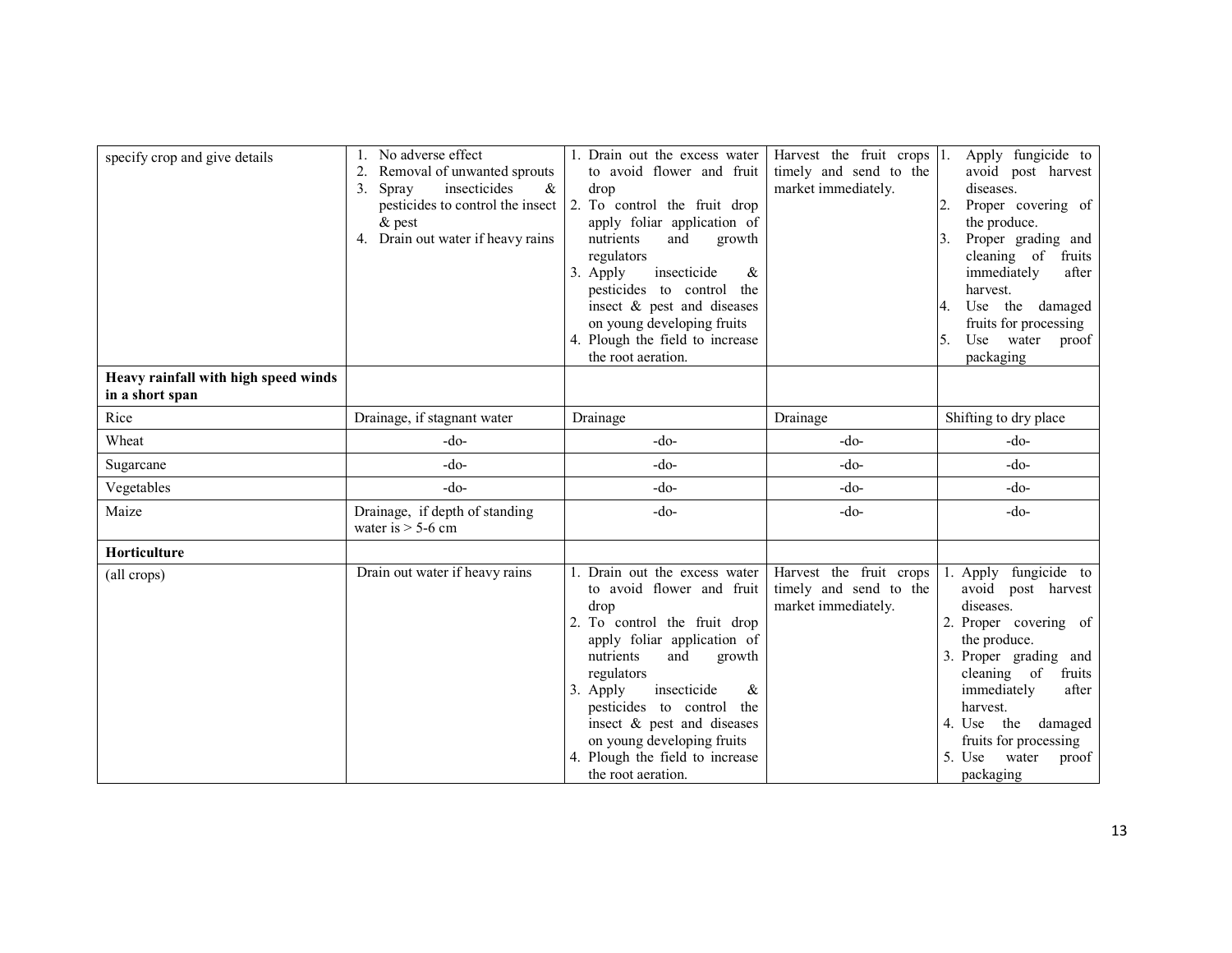| specify crop and give details<br>Heavy rainfall with high speed winds | No adverse effect<br>Removal of unwanted sprouts<br>2.<br>insecticides<br>$\&$<br>Spray<br>3.<br>pesticides to control the insect<br>$\&$ pest<br>4. Drain out water if heavy rains | 1. Drain out the excess water<br>to avoid flower and fruit<br>drop<br>2. To control the fruit drop<br>apply foliar application of<br>nutrients<br>and<br>growth<br>regulators<br>3. Apply<br>insecticide<br>&<br>pesticides to control the<br>insect & pest and diseases<br>on young developing fruits<br>4. Plough the field to increase<br>the root aeration. | Harvest the fruit crops 1.<br>timely and send to the<br>market immediately. | Apply fungicide to<br>avoid post harvest<br>diseases.<br>Proper covering of<br>2.<br>the produce.<br>Proper grading and<br>3.<br>cleaning of<br>fruits<br>immediately<br>after<br>harvest.<br>the damaged<br>Use<br>fruits for processing<br>Use<br>water<br>proof<br>5.<br>packaging |
|-----------------------------------------------------------------------|-------------------------------------------------------------------------------------------------------------------------------------------------------------------------------------|-----------------------------------------------------------------------------------------------------------------------------------------------------------------------------------------------------------------------------------------------------------------------------------------------------------------------------------------------------------------|-----------------------------------------------------------------------------|---------------------------------------------------------------------------------------------------------------------------------------------------------------------------------------------------------------------------------------------------------------------------------------|
| in a short span                                                       |                                                                                                                                                                                     |                                                                                                                                                                                                                                                                                                                                                                 |                                                                             |                                                                                                                                                                                                                                                                                       |
| Rice                                                                  | Drainage, if stagnant water                                                                                                                                                         | Drainage                                                                                                                                                                                                                                                                                                                                                        | Drainage                                                                    | Shifting to dry place                                                                                                                                                                                                                                                                 |
| Wheat                                                                 | -do-                                                                                                                                                                                | $-do-$                                                                                                                                                                                                                                                                                                                                                          | $-do-$                                                                      | $-do-$                                                                                                                                                                                                                                                                                |
| Sugarcane                                                             | $-do-$                                                                                                                                                                              | $-do-$                                                                                                                                                                                                                                                                                                                                                          | -do-                                                                        | $-do-$                                                                                                                                                                                                                                                                                |
| Vegetables                                                            | $-do-$                                                                                                                                                                              | $-do-$                                                                                                                                                                                                                                                                                                                                                          | -do-                                                                        | $-do-$                                                                                                                                                                                                                                                                                |
| Maize                                                                 | Drainage, if depth of standing<br>water is $> 5$ -6 cm                                                                                                                              | $-do-$                                                                                                                                                                                                                                                                                                                                                          | $-do-$                                                                      | $-do-$                                                                                                                                                                                                                                                                                |
| Horticulture                                                          |                                                                                                                                                                                     |                                                                                                                                                                                                                                                                                                                                                                 |                                                                             |                                                                                                                                                                                                                                                                                       |
| (all crops)                                                           | Drain out water if heavy rains                                                                                                                                                      | Drain out the excess water<br>to avoid flower and fruit<br>drop<br>To control the fruit drop<br>apply foliar application of<br>nutrients<br>and<br>growth<br>regulators<br>insecticide<br>3. Apply<br>&<br>pesticides to control the<br>insect & pest and diseases<br>on young developing fruits<br>Plough the field to increase<br>the root aeration.          | Harvest the fruit crops<br>timely and send to the<br>market immediately.    | fungicide to<br>Apply<br>avoid post harvest<br>diseases.<br>2. Proper covering of<br>the produce.<br>3. Proper grading and<br>cleaning of<br>fruits<br>immediately<br>after<br>harvest.<br>4. Use the damaged<br>fruits for processing<br>5. Use<br>water<br>proof<br>packaging       |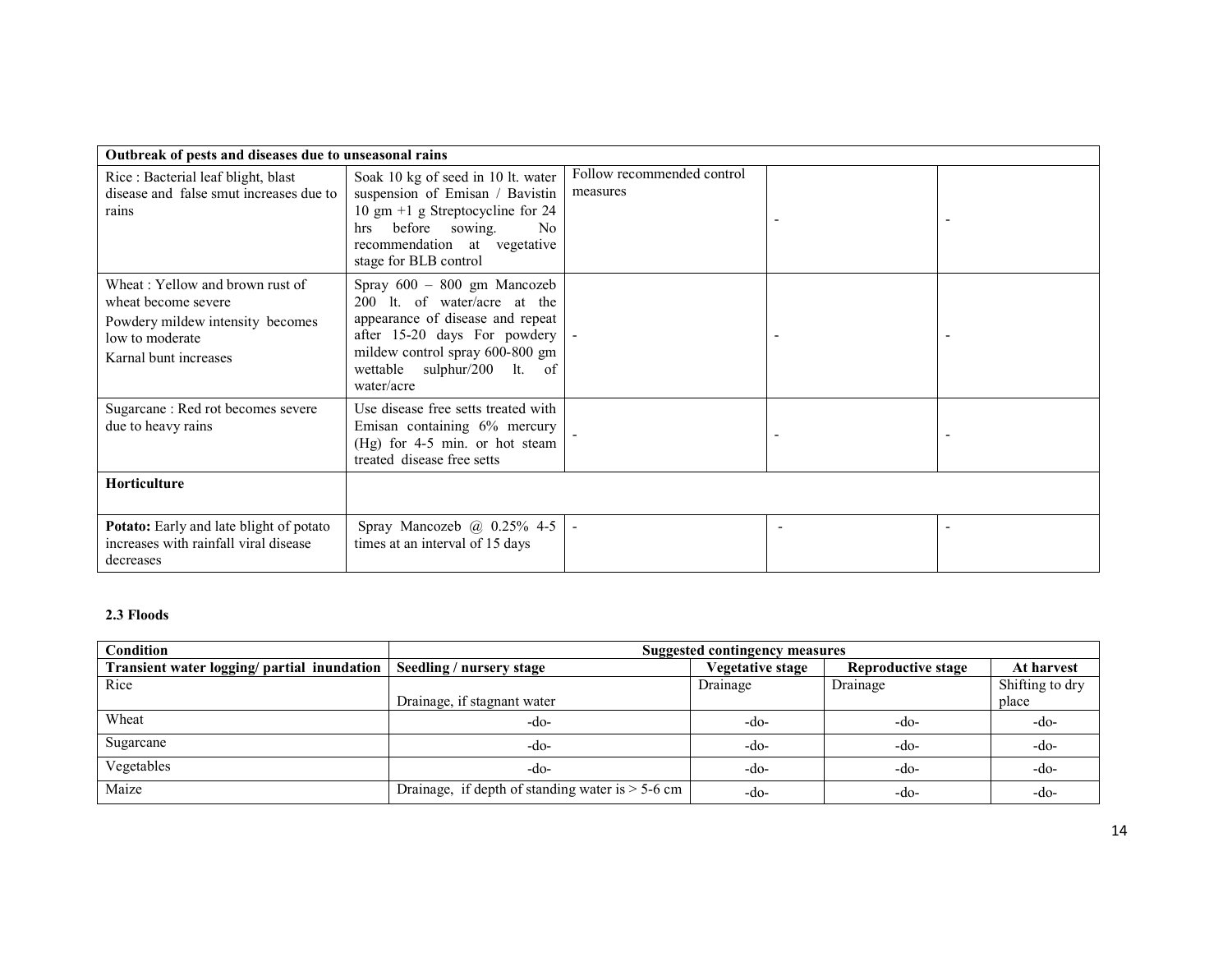| Outbreak of pests and diseases due to unseasonal rains                                                                                 |                                                                                                                                                                                                                   |                                        |  |
|----------------------------------------------------------------------------------------------------------------------------------------|-------------------------------------------------------------------------------------------------------------------------------------------------------------------------------------------------------------------|----------------------------------------|--|
| Rice: Bacterial leaf blight, blast<br>disease and false smut increases due to<br>rains                                                 | Soak 10 kg of seed in 10 lt. water<br>suspension of Emisan / Bavistin<br>10 gm +1 g Streptocycline for 24<br>before sowing.<br>No<br>hrs<br>recommendation at vegetative<br>stage for BLB control                 | Follow recommended control<br>measures |  |
| Wheat: Yellow and brown rust of<br>wheat become severe<br>Powdery mildew intensity becomes<br>low to moderate<br>Karnal bunt increases | Spray $600 - 800$ gm Mancozeb<br>200 lt. of water/acre at the<br>appearance of disease and repeat<br>after 15-20 days For powdery<br>mildew control spray 600-800 gm<br>wettable sulphur/200 lt. of<br>water/acre |                                        |  |
| Sugarcane: Red rot becomes severe<br>due to heavy rains                                                                                | Use disease free setts treated with<br>Emisan containing 6% mercury<br>$(Hg)$ for 4-5 min. or hot steam<br>treated disease free setts                                                                             |                                        |  |
| Horticulture                                                                                                                           |                                                                                                                                                                                                                   |                                        |  |
| <b>Potato:</b> Early and late blight of potato<br>increases with rainfall viral disease<br>decreases                                   | Spray Mancozeb $\omega$ 0.25% 4-5<br>times at an interval of 15 days                                                                                                                                              |                                        |  |

### 2.3 Floods

| Condition                                   | <b>Suggested contingency measures</b>               |                  |                           |                 |  |
|---------------------------------------------|-----------------------------------------------------|------------------|---------------------------|-----------------|--|
| Transient water logging/ partial inundation | Seedling / nursery stage                            | Vegetative stage | <b>Reproductive stage</b> | At harvest      |  |
| Rice                                        |                                                     | Drainage         | Drainage                  | Shifting to dry |  |
|                                             | Drainage, if stagnant water                         |                  |                           | place           |  |
| Wheat                                       | -do-                                                | -do-             | -do-                      | -do-            |  |
| Sugarcane                                   | -do-                                                | -do-             | $-do-$                    | $-do-$          |  |
| Vegetables                                  | -do-                                                | -do-             | -do-                      | $-do-$          |  |
| Maize                                       | Drainage, if depth of standing water is $> 5$ -6 cm | -do-             | -do-                      | -do-            |  |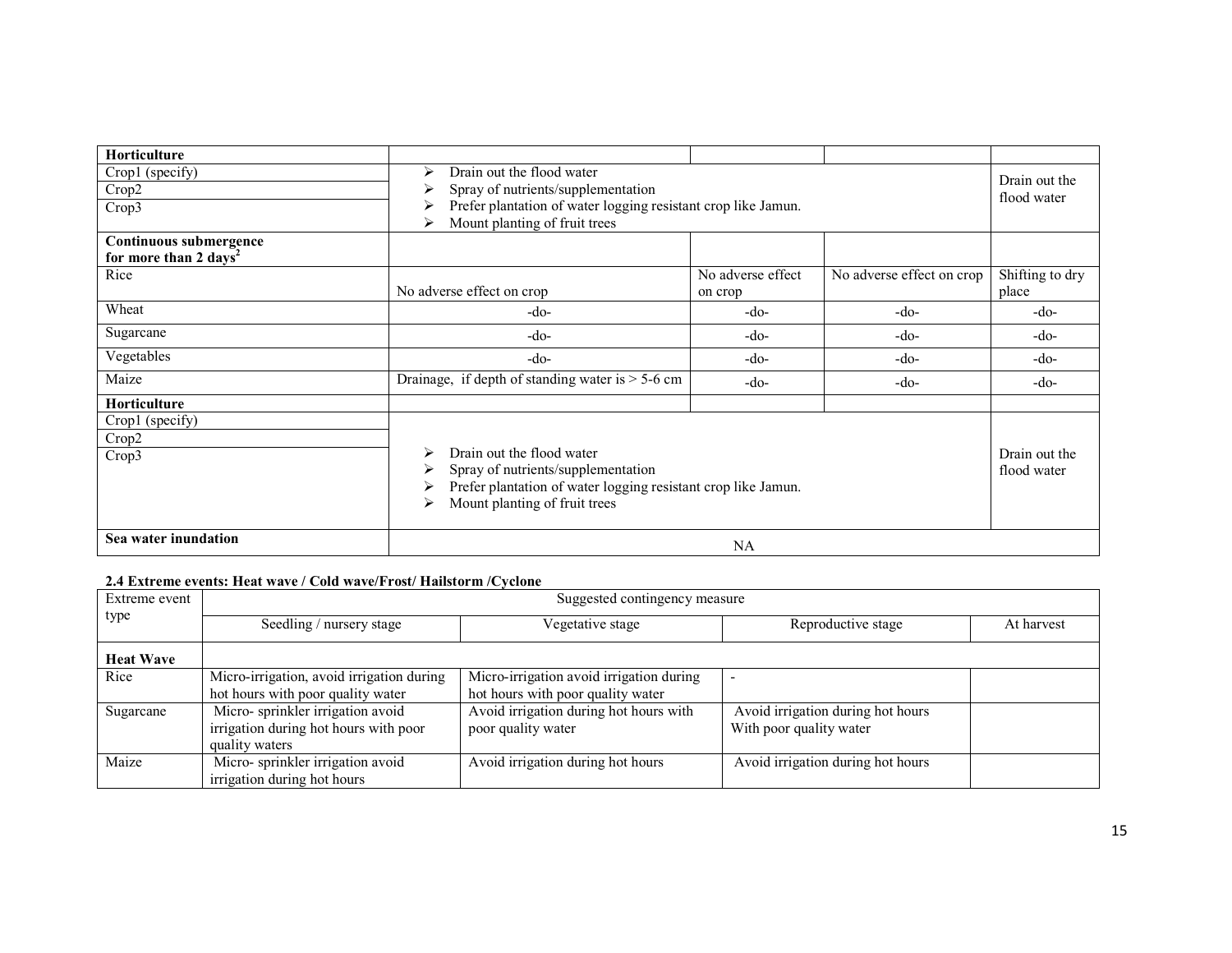| Horticulture<br>Crop1 (specify)<br>Crop2<br>Crop3                   | Drain out the flood water<br>⋗<br>Spray of nutrients/supplementation<br>Prefer plantation of water logging resistant crop like Jamun.<br>Mount planting of fruit trees<br>⋗      | Drain out the<br>flood water |                           |                              |
|---------------------------------------------------------------------|----------------------------------------------------------------------------------------------------------------------------------------------------------------------------------|------------------------------|---------------------------|------------------------------|
| Continuous submergence<br>for more than 2 days <sup>2</sup><br>Rice | No adverse effect on crop                                                                                                                                                        | No adverse effect<br>on crop | No adverse effect on crop | Shifting to dry<br>place     |
| Wheat                                                               | -do-                                                                                                                                                                             | -do-                         | -do-                      | -do-                         |
| Sugarcane                                                           | -do-                                                                                                                                                                             | -do-                         | -do-                      | -do-                         |
| Vegetables                                                          | -do-                                                                                                                                                                             | $-do-$                       | $-do-$                    | $-do-$                       |
| Maize                                                               | Drainage, if depth of standing water is $> 5-6$ cm                                                                                                                               | -do-                         | $-do-$                    | $-do-$                       |
| Horticulture                                                        |                                                                                                                                                                                  |                              |                           |                              |
| Crop1 (specify)<br>Crop2<br>Crop3                                   | Drain out the flood water<br>⋗<br>Spray of nutrients/supplementation<br>⋗<br>Prefer plantation of water logging resistant crop like Jamun.<br>Mount planting of fruit trees<br>⋗ |                              |                           | Drain out the<br>flood water |
| Sea water inundation                                                | NA                                                                                                                                                                               |                              |                           |                              |

#### 2.4 Extreme events: Heat wave / Cold wave/Frost/ Hailstorm /Cyclone

| Extreme event<br>type | Suggested contingency measure             |                                          |                                   |            |  |  |  |
|-----------------------|-------------------------------------------|------------------------------------------|-----------------------------------|------------|--|--|--|
|                       | Seedling / nursery stage                  | Vegetative stage                         | Reproductive stage                | At harvest |  |  |  |
| <b>Heat Wave</b>      |                                           |                                          |                                   |            |  |  |  |
| Rice                  | Micro-irrigation, avoid irrigation during | Micro-irrigation avoid irrigation during |                                   |            |  |  |  |
|                       | hot hours with poor quality water         | hot hours with poor quality water        |                                   |            |  |  |  |
| Sugarcane             | Micro-sprinkler irrigation avoid          | Avoid irrigation during hot hours with   | Avoid irrigation during hot hours |            |  |  |  |
|                       | irrigation during hot hours with poor     | poor quality water                       | With poor quality water           |            |  |  |  |
|                       | quality waters                            |                                          |                                   |            |  |  |  |
| Maize                 | Micro-sprinkler irrigation avoid          | Avoid irrigation during hot hours        | Avoid irrigation during hot hours |            |  |  |  |
|                       | irrigation during hot hours               |                                          |                                   |            |  |  |  |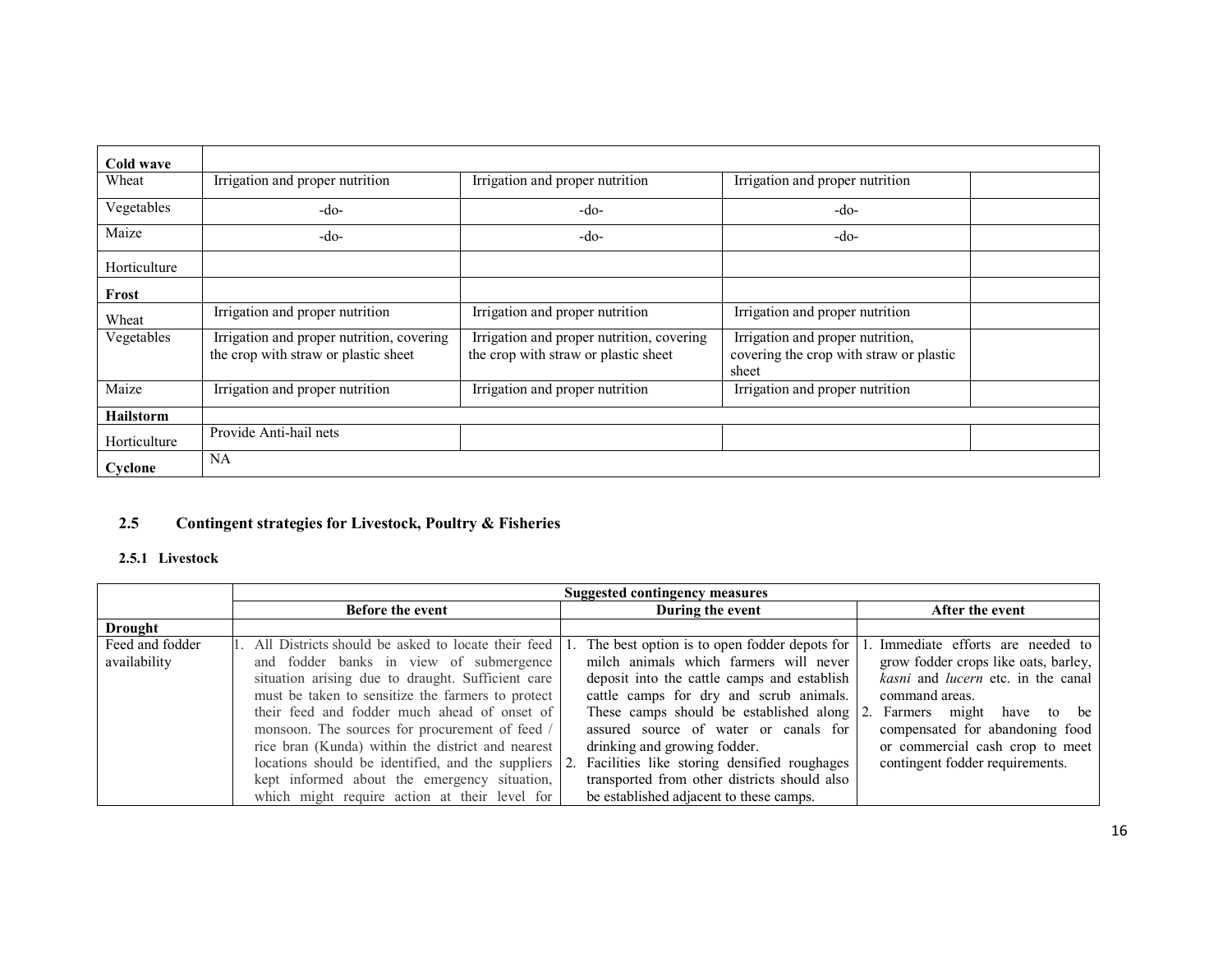| Cold wave        |                                                                                   |                                                                                   |                                                                                      |  |
|------------------|-----------------------------------------------------------------------------------|-----------------------------------------------------------------------------------|--------------------------------------------------------------------------------------|--|
| Wheat            | Irrigation and proper nutrition                                                   | Irrigation and proper nutrition                                                   | Irrigation and proper nutrition                                                      |  |
| Vegetables       | -do-                                                                              | -do-                                                                              | $-do-$                                                                               |  |
| Maize            | -do-                                                                              | $-do-$                                                                            | $-do-$                                                                               |  |
| Horticulture     |                                                                                   |                                                                                   |                                                                                      |  |
| Frost            |                                                                                   |                                                                                   |                                                                                      |  |
| Wheat            | Irrigation and proper nutrition                                                   | Irrigation and proper nutrition                                                   | Irrigation and proper nutrition                                                      |  |
| Vegetables       | Irrigation and proper nutrition, covering<br>the crop with straw or plastic sheet | Irrigation and proper nutrition, covering<br>the crop with straw or plastic sheet | Irrigation and proper nutrition,<br>covering the crop with straw or plastic<br>sheet |  |
| Maize            | Irrigation and proper nutrition                                                   | Irrigation and proper nutrition                                                   | Irrigation and proper nutrition                                                      |  |
| <b>Hailstorm</b> |                                                                                   |                                                                                   |                                                                                      |  |
| Horticulture     | Provide Anti-hail nets                                                            |                                                                                   |                                                                                      |  |
| Cyclone          | <b>NA</b>                                                                         |                                                                                   |                                                                                      |  |

# 2.5 Contingent strategies for Livestock, Poultry & Fisheries

## 2.5.1 Livestock

|                 | <b>Suggested contingency measures</b>              |  |                                              |      |                                      |
|-----------------|----------------------------------------------------|--|----------------------------------------------|------|--------------------------------------|
|                 | Before the event                                   |  | During the event                             |      | After the event                      |
| <b>Drought</b>  |                                                    |  |                                              |      |                                      |
| Feed and fodder | All Districts should be asked to locate their feed |  | The best option is to open fodder depots for |      | Immediate efforts are needed to      |
| availability    | and fodder banks in view of submergence            |  | milch animals which farmers will never       |      | grow fodder crops like oats, barley, |
|                 | situation arising due to draught. Sufficient care  |  | deposit into the cattle camps and establish  |      | kasni and lucern etc. in the canal   |
|                 | must be taken to sensitize the farmers to protect  |  | cattle camps for dry and scrub animals.      |      | command areas.                       |
|                 | their feed and fodder much ahead of onset of       |  | These camps should be established along      | l 2. | Farmers might have<br>to be          |
|                 | monsoon. The sources for procurement of feed /     |  | assured source of water or canals for        |      | compensated for abandoning food      |
|                 | rice bran (Kunda) within the district and nearest  |  | drinking and growing fodder.                 |      | or commercial cash crop to meet      |
|                 | locations should be identified, and the suppliers  |  | Facilities like storing densified roughages  |      | contingent fodder requirements.      |
|                 | kept informed about the emergency situation,       |  | transported from other districts should also |      |                                      |
|                 | which might require action at their level for      |  | be established adjacent to these camps.      |      |                                      |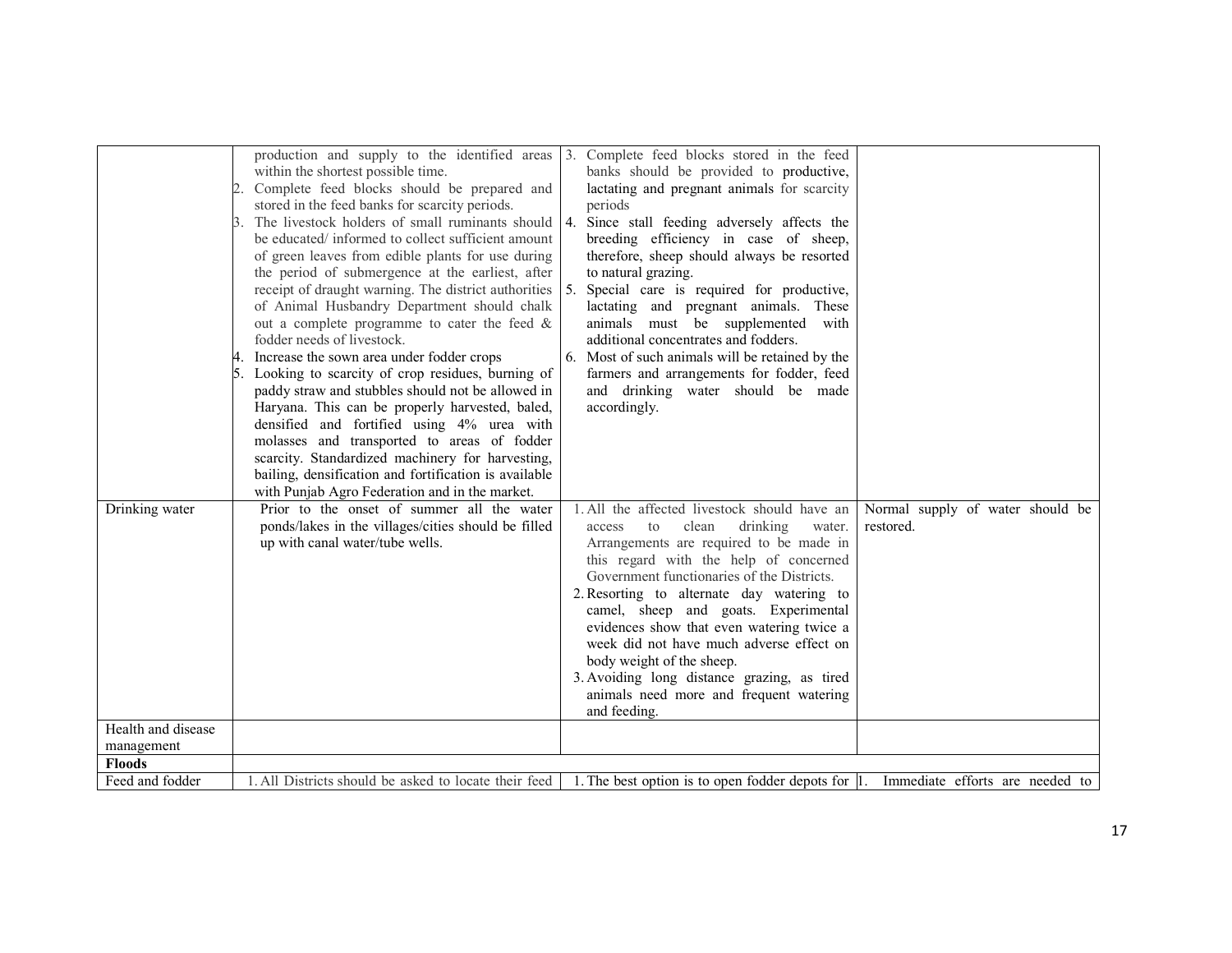|                                  | production and supply to the identified areas<br>within the shortest possible time.<br>Complete feed blocks should be prepared and<br>stored in the feed banks for scarcity periods.<br>The livestock holders of small ruminants should<br>be educated/ informed to collect sufficient amount<br>of green leaves from edible plants for use during<br>the period of submergence at the earliest, after<br>receipt of draught warning. The district authorities<br>of Animal Husbandry Department should chalk<br>out a complete programme to cater the feed $\&$<br>fodder needs of livestock.<br>Increase the sown area under fodder crops<br>Looking to scarcity of crop residues, burning of<br>paddy straw and stubbles should not be allowed in<br>Haryana. This can be properly harvested, baled,<br>densified and fortified using 4% urea with<br>molasses and transported to areas of fodder | Complete feed blocks stored in the feed<br>$\overline{3}$ .<br>banks should be provided to productive,<br>lactating and pregnant animals for scarcity<br>periods<br>4.<br>Since stall feeding adversely affects the<br>breeding efficiency in case of sheep,<br>therefore, sheep should always be resorted<br>to natural grazing.<br>5.<br>Special care is required for productive,<br>lactating and pregnant animals. These<br>animals must be supplemented<br>with<br>additional concentrates and fodders.<br>Most of such animals will be retained by the<br>farmers and arrangements for fodder, feed<br>and drinking water should be made<br>accordingly. |                                               |
|----------------------------------|------------------------------------------------------------------------------------------------------------------------------------------------------------------------------------------------------------------------------------------------------------------------------------------------------------------------------------------------------------------------------------------------------------------------------------------------------------------------------------------------------------------------------------------------------------------------------------------------------------------------------------------------------------------------------------------------------------------------------------------------------------------------------------------------------------------------------------------------------------------------------------------------------|----------------------------------------------------------------------------------------------------------------------------------------------------------------------------------------------------------------------------------------------------------------------------------------------------------------------------------------------------------------------------------------------------------------------------------------------------------------------------------------------------------------------------------------------------------------------------------------------------------------------------------------------------------------|-----------------------------------------------|
|                                  | scarcity. Standardized machinery for harvesting,<br>bailing, densification and fortification is available<br>with Punjab Agro Federation and in the market.                                                                                                                                                                                                                                                                                                                                                                                                                                                                                                                                                                                                                                                                                                                                          |                                                                                                                                                                                                                                                                                                                                                                                                                                                                                                                                                                                                                                                                |                                               |
| Drinking water                   | Prior to the onset of summer all the water<br>ponds/lakes in the villages/cities should be filled<br>up with canal water/tube wells.                                                                                                                                                                                                                                                                                                                                                                                                                                                                                                                                                                                                                                                                                                                                                                 | 1. All the affected livestock should have an<br>clean<br>drinking<br>access<br>to<br>water.<br>Arrangements are required to be made in<br>this regard with the help of concerned<br>Government functionaries of the Districts.<br>2. Resorting to alternate day watering to<br>camel, sheep and goats. Experimental<br>evidences show that even watering twice a<br>week did not have much adverse effect on<br>body weight of the sheep.<br>3. Avoiding long distance grazing, as tired<br>animals need more and frequent watering<br>and feeding.                                                                                                            | Normal supply of water should be<br>restored. |
| Health and disease<br>management |                                                                                                                                                                                                                                                                                                                                                                                                                                                                                                                                                                                                                                                                                                                                                                                                                                                                                                      |                                                                                                                                                                                                                                                                                                                                                                                                                                                                                                                                                                                                                                                                |                                               |
| <b>Floods</b>                    |                                                                                                                                                                                                                                                                                                                                                                                                                                                                                                                                                                                                                                                                                                                                                                                                                                                                                                      |                                                                                                                                                                                                                                                                                                                                                                                                                                                                                                                                                                                                                                                                |                                               |
| Feed and fodder                  | 1. All Districts should be asked to locate their feed                                                                                                                                                                                                                                                                                                                                                                                                                                                                                                                                                                                                                                                                                                                                                                                                                                                | 1. The best option is to open fodder depots for 1. Immediate efforts are needed to                                                                                                                                                                                                                                                                                                                                                                                                                                                                                                                                                                             |                                               |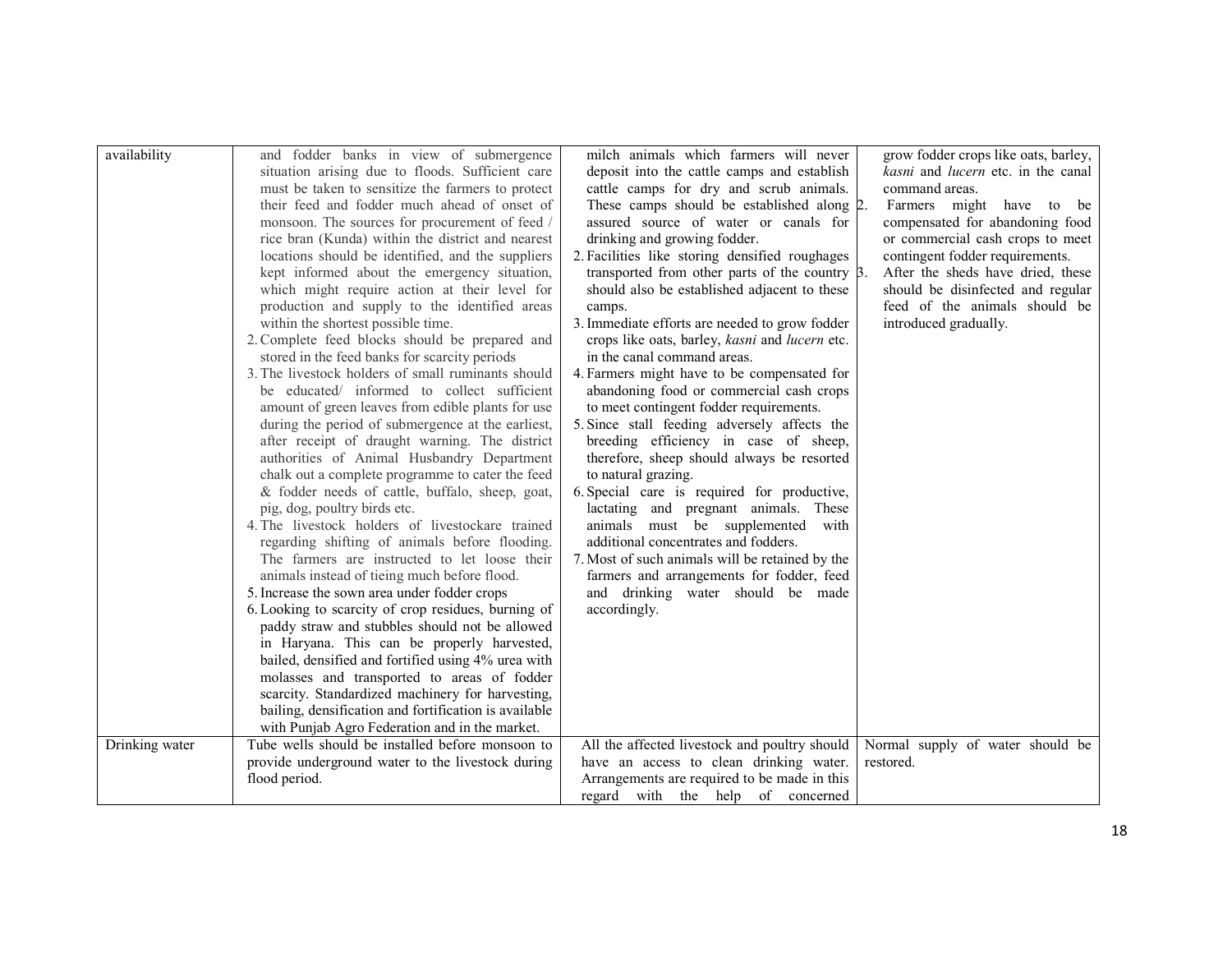| availability   | and fodder banks in view of submergence                                          | milch animals which farmers will never                               | grow fodder crops like oats, barley, |
|----------------|----------------------------------------------------------------------------------|----------------------------------------------------------------------|--------------------------------------|
|                | situation arising due to floods. Sufficient care                                 | deposit into the cattle camps and establish                          | kasni and lucern etc. in the canal   |
|                | must be taken to sensitize the farmers to protect                                | cattle camps for dry and scrub animals.                              | command areas.                       |
|                | their feed and fodder much ahead of onset of                                     | These camps should be established along 2.                           | Farmers might have to be             |
|                | monsoon. The sources for procurement of feed /                                   | assured source of water or canals for                                | compensated for abandoning food      |
|                | rice bran (Kunda) within the district and nearest                                | drinking and growing fodder.                                         | or commercial cash crops to meet     |
|                | locations should be identified, and the suppliers                                | 2. Facilities like storing densified roughages                       | contingent fodder requirements.      |
|                | kept informed about the emergency situation,                                     | transported from other parts of the country 3.                       | After the sheds have dried, these    |
|                | which might require action at their level for                                    | should also be established adjacent to these                         | should be disinfected and regular    |
|                | production and supply to the identified areas                                    | camps.                                                               | feed of the animals should be        |
|                | within the shortest possible time.                                               | 3. Immediate efforts are needed to grow fodder                       | introduced gradually.                |
|                | 2. Complete feed blocks should be prepared and                                   | crops like oats, barley, kasni and lucern etc.                       |                                      |
|                | stored in the feed banks for scarcity periods                                    | in the canal command areas.                                          |                                      |
|                | 3. The livestock holders of small ruminants should                               | 4. Farmers might have to be compensated for                          |                                      |
|                | be educated/ informed to collect sufficient                                      | abandoning food or commercial cash crops                             |                                      |
|                | amount of green leaves from edible plants for use                                | to meet contingent fodder requirements.                              |                                      |
|                | during the period of submergence at the earliest,                                | 5. Since stall feeding adversely affects the                         |                                      |
|                | after receipt of draught warning. The district                                   | breeding efficiency in case of sheep,                                |                                      |
|                | authorities of Animal Husbandry Department                                       | therefore, sheep should always be resorted                           |                                      |
|                | chalk out a complete programme to cater the feed                                 | to natural grazing.                                                  |                                      |
|                | & fodder needs of cattle, buffalo, sheep, goat,                                  | 6. Special care is required for productive,                          |                                      |
|                | pig, dog, poultry birds etc.<br>4. The livestock holders of livestockare trained | lactating and pregnant animals. These<br>with                        |                                      |
|                | regarding shifting of animals before flooding.                                   | animals must be supplemented<br>additional concentrates and fodders. |                                      |
|                | The farmers are instructed to let loose their                                    | 7. Most of such animals will be retained by the                      |                                      |
|                | animals instead of tieing much before flood.                                     | farmers and arrangements for fodder, feed                            |                                      |
|                | 5. Increase the sown area under fodder crops                                     | and drinking water should be made                                    |                                      |
|                | 6. Looking to scarcity of crop residues, burning of                              | accordingly.                                                         |                                      |
|                | paddy straw and stubbles should not be allowed                                   |                                                                      |                                      |
|                | in Haryana. This can be properly harvested,                                      |                                                                      |                                      |
|                | bailed, densified and fortified using 4% urea with                               |                                                                      |                                      |
|                | molasses and transported to areas of fodder                                      |                                                                      |                                      |
|                | scarcity. Standardized machinery for harvesting,                                 |                                                                      |                                      |
|                | bailing, densification and fortification is available                            |                                                                      |                                      |
|                | with Punjab Agro Federation and in the market.                                   |                                                                      |                                      |
| Drinking water | Tube wells should be installed before monsoon to                                 | All the affected livestock and poultry should                        | Normal supply of water should be     |
|                | provide underground water to the livestock during                                | have an access to clean drinking water.                              | restored.                            |
|                | flood period.                                                                    | Arrangements are required to be made in this                         |                                      |
|                |                                                                                  | regard with the help of concerned                                    |                                      |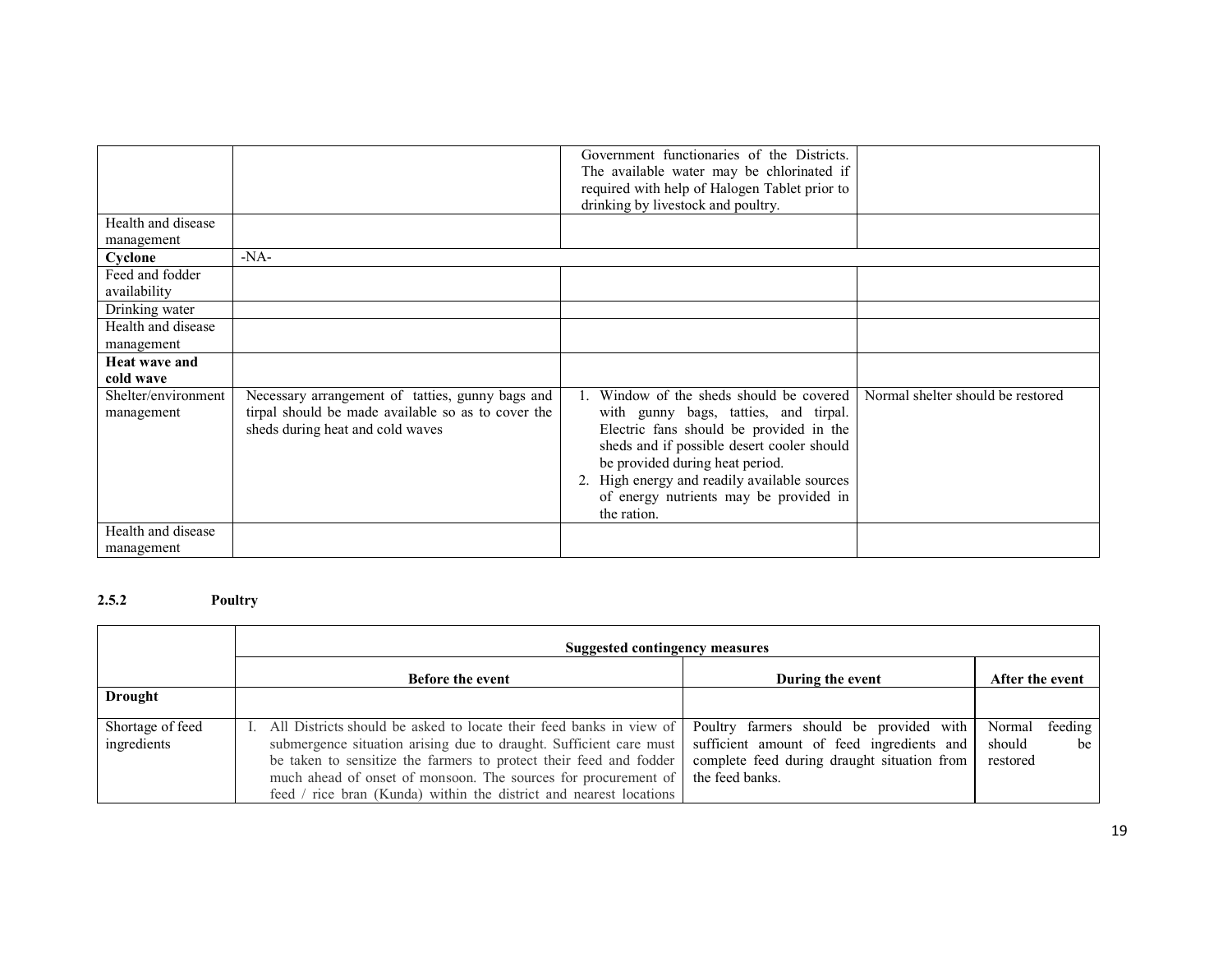| Government functionaries of the Districts.                                                                                                            |  |
|-------------------------------------------------------------------------------------------------------------------------------------------------------|--|
| The available water may be chlorinated if                                                                                                             |  |
|                                                                                                                                                       |  |
| required with help of Halogen Tablet prior to                                                                                                         |  |
| drinking by livestock and poultry.                                                                                                                    |  |
| Health and disease                                                                                                                                    |  |
| management                                                                                                                                            |  |
| $-NA-$<br>Cyclone                                                                                                                                     |  |
| Feed and fodder                                                                                                                                       |  |
| availability                                                                                                                                          |  |
| Drinking water                                                                                                                                        |  |
| Health and disease                                                                                                                                    |  |
| management                                                                                                                                            |  |
| <b>Heat wave and</b>                                                                                                                                  |  |
| cold wave                                                                                                                                             |  |
| Window of the sheds should be covered<br>Normal shelter should be restored<br>Necessary arrangement of tatties, gunny bags and<br>Shelter/environment |  |
| tirpal should be made available so as to cover the<br>with gunny bags, tatties, and tirpal.<br>management                                             |  |
| Electric fans should be provided in the<br>sheds during heat and cold waves                                                                           |  |
|                                                                                                                                                       |  |
| sheds and if possible desert cooler should                                                                                                            |  |
| be provided during heat period.                                                                                                                       |  |
| 2. High energy and readily available sources                                                                                                          |  |
| of energy nutrients may be provided in                                                                                                                |  |
|                                                                                                                                                       |  |
| the ration.                                                                                                                                           |  |
| Health and disease                                                                                                                                    |  |
| management                                                                                                                                            |  |

#### 2.5.2Poultry

|                                 | Suggested contingency measures                                                                                                                                                                                                                                                                                                                          |                                                                                                                                                        |                                                 |  |
|---------------------------------|---------------------------------------------------------------------------------------------------------------------------------------------------------------------------------------------------------------------------------------------------------------------------------------------------------------------------------------------------------|--------------------------------------------------------------------------------------------------------------------------------------------------------|-------------------------------------------------|--|
|                                 | <b>Before the event</b>                                                                                                                                                                                                                                                                                                                                 | During the event                                                                                                                                       | After the event                                 |  |
| <b>Drought</b>                  |                                                                                                                                                                                                                                                                                                                                                         |                                                                                                                                                        |                                                 |  |
| Shortage of feed<br>ingredients | All Districts should be asked to locate their feed banks in view of<br>submergence situation arising due to draught. Sufficient care must<br>be taken to sensitize the farmers to protect their feed and fodder<br>much ahead of onset of monsoon. The sources for procurement of<br>feed / rice bran (Kunda) within the district and nearest locations | Poultry farmers should be provided with<br>sufficient amount of feed ingredients and<br>complete feed during draught situation from<br>the feed banks. | Normal<br>feeding<br>should<br>be  <br>restored |  |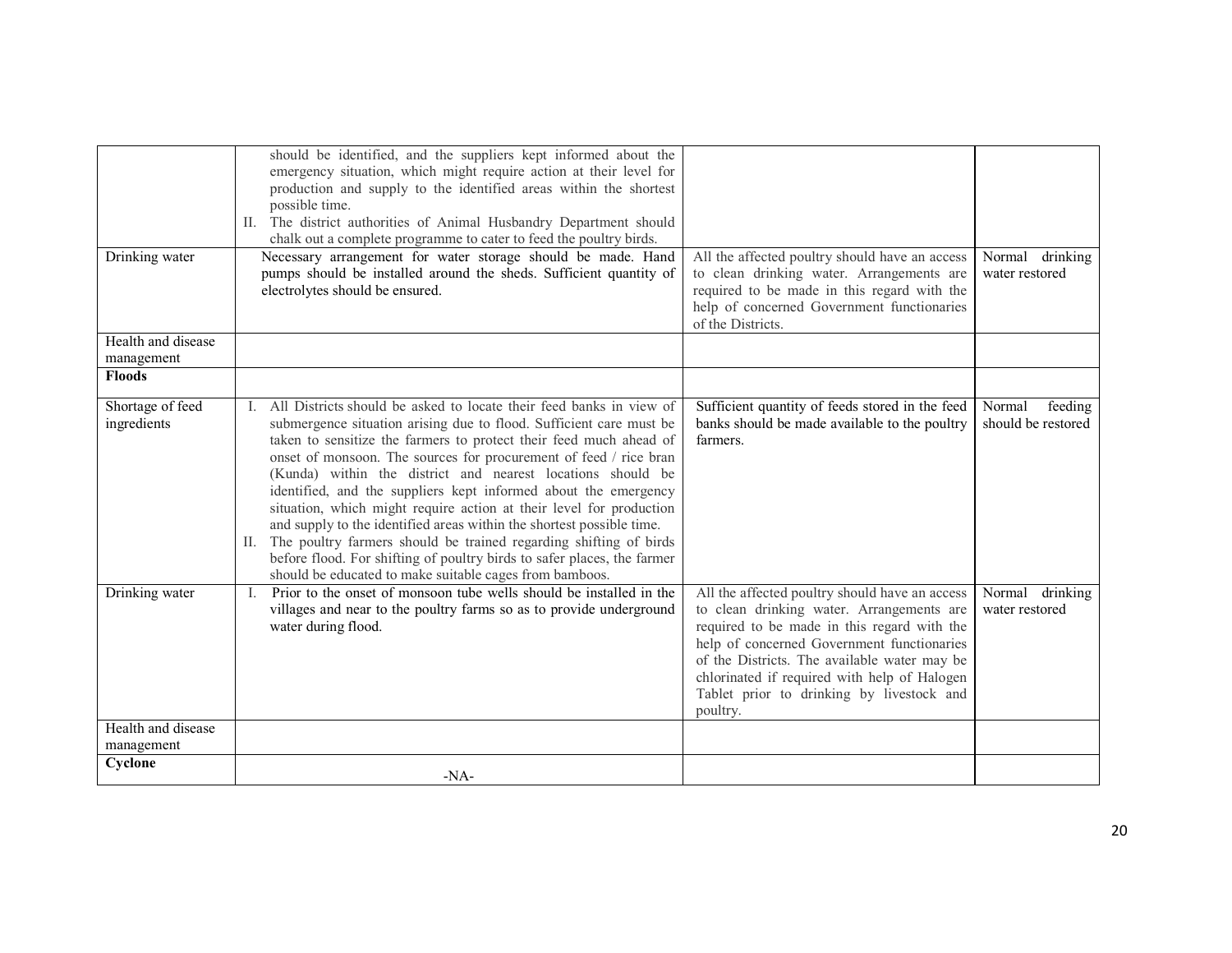|                                  | should be identified, and the suppliers kept informed about the<br>emergency situation, which might require action at their level for<br>production and supply to the identified areas within the shortest<br>possible time.<br>II. The district authorities of Animal Husbandry Department should<br>chalk out a complete programme to cater to feed the poultry birds.                                                                                                                                                                                                                                                                                                                                                                                                                 |                                                                                                                                                                                                                                                                                                                                                   |                                         |
|----------------------------------|------------------------------------------------------------------------------------------------------------------------------------------------------------------------------------------------------------------------------------------------------------------------------------------------------------------------------------------------------------------------------------------------------------------------------------------------------------------------------------------------------------------------------------------------------------------------------------------------------------------------------------------------------------------------------------------------------------------------------------------------------------------------------------------|---------------------------------------------------------------------------------------------------------------------------------------------------------------------------------------------------------------------------------------------------------------------------------------------------------------------------------------------------|-----------------------------------------|
| Drinking water                   | Necessary arrangement for water storage should be made. Hand<br>pumps should be installed around the sheds. Sufficient quantity of<br>electrolytes should be ensured.                                                                                                                                                                                                                                                                                                                                                                                                                                                                                                                                                                                                                    | All the affected poultry should have an access<br>to clean drinking water. Arrangements are<br>required to be made in this regard with the<br>help of concerned Government functionaries<br>of the Districts.                                                                                                                                     | Normal drinking<br>water restored       |
| Health and disease<br>management |                                                                                                                                                                                                                                                                                                                                                                                                                                                                                                                                                                                                                                                                                                                                                                                          |                                                                                                                                                                                                                                                                                                                                                   |                                         |
| <b>Floods</b>                    |                                                                                                                                                                                                                                                                                                                                                                                                                                                                                                                                                                                                                                                                                                                                                                                          |                                                                                                                                                                                                                                                                                                                                                   |                                         |
| Shortage of feed<br>ingredients  | All Districts should be asked to locate their feed banks in view of<br>submergence situation arising due to flood. Sufficient care must be<br>taken to sensitize the farmers to protect their feed much ahead of<br>onset of monsoon. The sources for procurement of feed / rice bran<br>(Kunda) within the district and nearest locations should be<br>identified, and the suppliers kept informed about the emergency<br>situation, which might require action at their level for production<br>and supply to the identified areas within the shortest possible time.<br>The poultry farmers should be trained regarding shifting of birds<br>П.<br>before flood. For shifting of poultry birds to safer places, the farmer<br>should be educated to make suitable cages from bamboos. | Sufficient quantity of feeds stored in the feed<br>banks should be made available to the poultry<br>farmers.                                                                                                                                                                                                                                      | Normal<br>feeding<br>should be restored |
| Drinking water                   | Prior to the onset of monsoon tube wells should be installed in the<br>Т.<br>villages and near to the poultry farms so as to provide underground<br>water during flood.                                                                                                                                                                                                                                                                                                                                                                                                                                                                                                                                                                                                                  | All the affected poultry should have an access<br>to clean drinking water. Arrangements are<br>required to be made in this regard with the<br>help of concerned Government functionaries<br>of the Districts. The available water may be<br>chlorinated if required with help of Halogen<br>Tablet prior to drinking by livestock and<br>poultry. | Normal drinking<br>water restored       |
| Health and disease<br>management |                                                                                                                                                                                                                                                                                                                                                                                                                                                                                                                                                                                                                                                                                                                                                                                          |                                                                                                                                                                                                                                                                                                                                                   |                                         |
| Cyclone                          |                                                                                                                                                                                                                                                                                                                                                                                                                                                                                                                                                                                                                                                                                                                                                                                          |                                                                                                                                                                                                                                                                                                                                                   |                                         |
|                                  | $-NA-$                                                                                                                                                                                                                                                                                                                                                                                                                                                                                                                                                                                                                                                                                                                                                                                   |                                                                                                                                                                                                                                                                                                                                                   |                                         |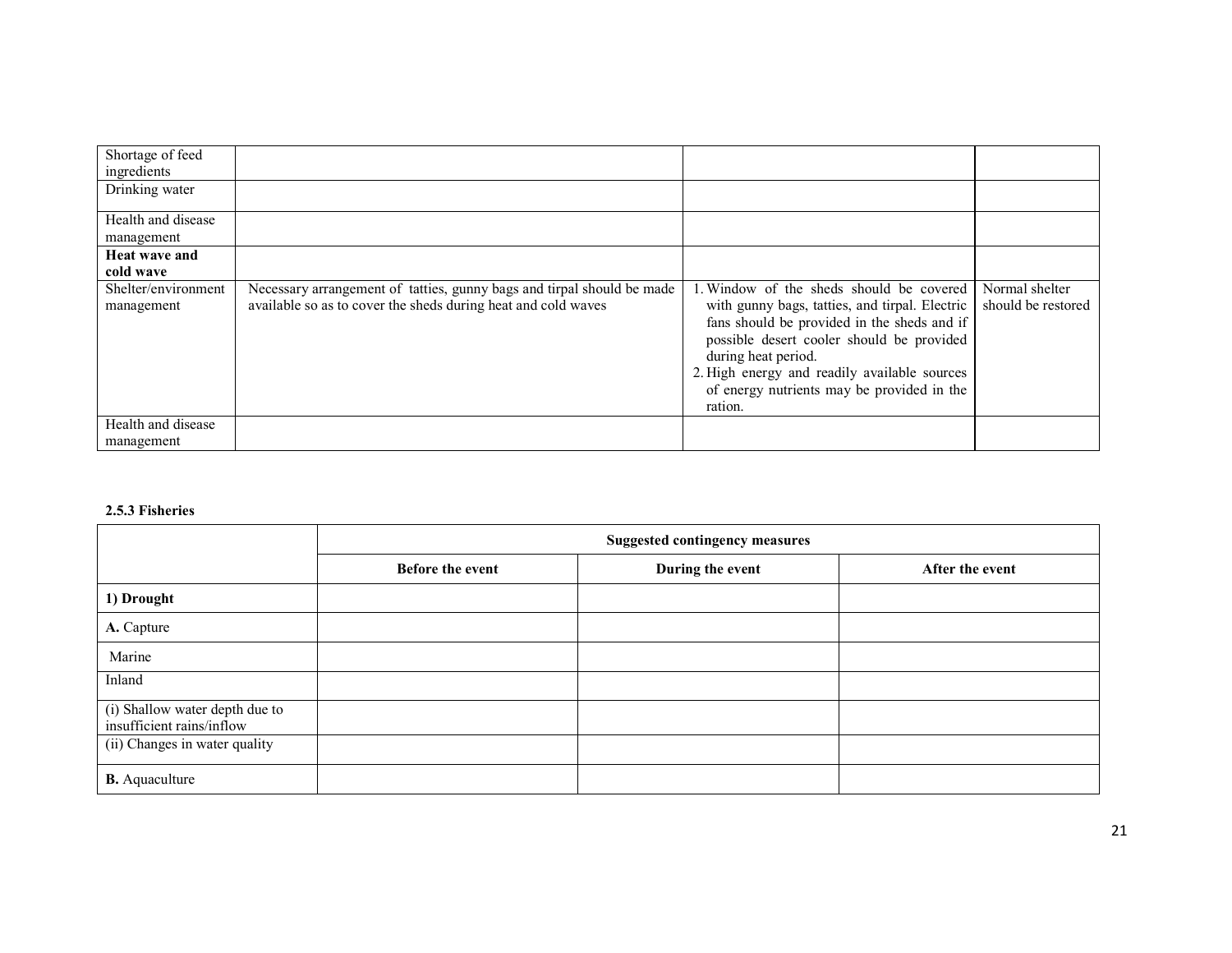| Shortage of feed<br>ingredients   |                                                                                                                                         |                                                                                                                                                                                                                                                                                                                        |                                      |
|-----------------------------------|-----------------------------------------------------------------------------------------------------------------------------------------|------------------------------------------------------------------------------------------------------------------------------------------------------------------------------------------------------------------------------------------------------------------------------------------------------------------------|--------------------------------------|
| Drinking water                    |                                                                                                                                         |                                                                                                                                                                                                                                                                                                                        |                                      |
| Health and disease<br>management  |                                                                                                                                         |                                                                                                                                                                                                                                                                                                                        |                                      |
| <b>Heat wave and</b><br>cold wave |                                                                                                                                         |                                                                                                                                                                                                                                                                                                                        |                                      |
| Shelter/environment<br>management | Necessary arrangement of tatties, gunny bags and tirpal should be made<br>available so as to cover the sheds during heat and cold waves | 1. Window of the sheds should be covered<br>with gunny bags, tatties, and tirpal. Electric<br>fans should be provided in the sheds and if<br>possible desert cooler should be provided<br>during heat period.<br>2. High energy and readily available sources<br>of energy nutrients may be provided in the<br>ration. | Normal shelter<br>should be restored |
| Health and disease<br>management  |                                                                                                                                         |                                                                                                                                                                                                                                                                                                                        |                                      |

#### 2.5.3 Fisheries

|                                                             | <b>Suggested contingency measures</b> |                  |                 |
|-------------------------------------------------------------|---------------------------------------|------------------|-----------------|
|                                                             | <b>Before the event</b>               | During the event | After the event |
| 1) Drought                                                  |                                       |                  |                 |
| A. Capture                                                  |                                       |                  |                 |
| Marine                                                      |                                       |                  |                 |
| Inland                                                      |                                       |                  |                 |
| (i) Shallow water depth due to<br>insufficient rains/inflow |                                       |                  |                 |
| (ii) Changes in water quality                               |                                       |                  |                 |
| <b>B.</b> Aquaculture                                       |                                       |                  |                 |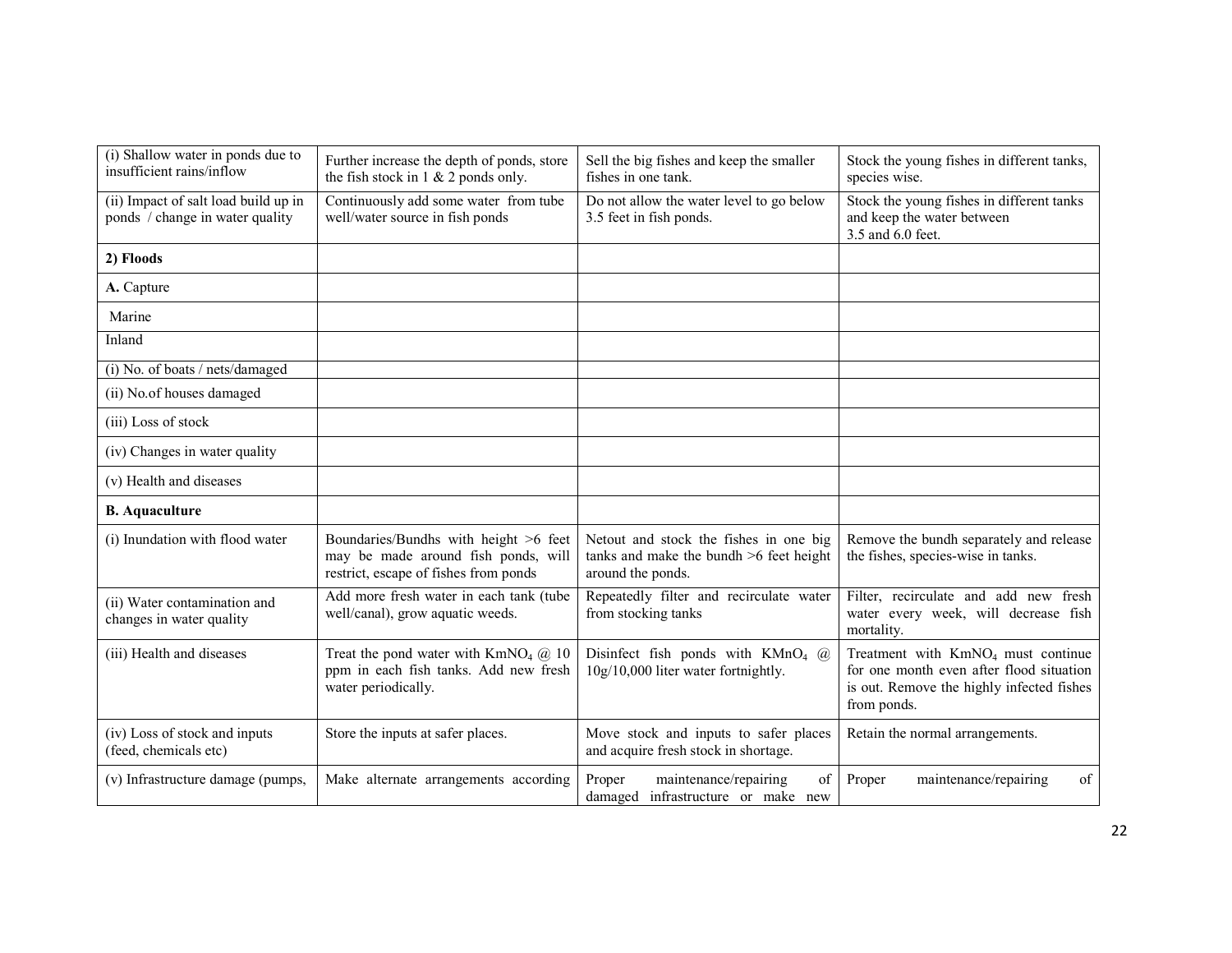| (i) Shallow water in ponds due to<br>insufficient rains/inflow          | Further increase the depth of ponds, store<br>the fish stock in 1 & 2 ponds only.                                     | Sell the big fishes and keep the smaller<br>fishes in one tank.                                          | Stock the young fishes in different tanks,<br>species wise.                                                                                            |
|-------------------------------------------------------------------------|-----------------------------------------------------------------------------------------------------------------------|----------------------------------------------------------------------------------------------------------|--------------------------------------------------------------------------------------------------------------------------------------------------------|
| (ii) Impact of salt load build up in<br>ponds / change in water quality | Continuously add some water from tube<br>well/water source in fish ponds                                              | Do not allow the water level to go below<br>3.5 feet in fish ponds.                                      | Stock the young fishes in different tanks<br>and keep the water between<br>3.5 and 6.0 feet.                                                           |
| 2) Floods                                                               |                                                                                                                       |                                                                                                          |                                                                                                                                                        |
| A. Capture                                                              |                                                                                                                       |                                                                                                          |                                                                                                                                                        |
| Marine                                                                  |                                                                                                                       |                                                                                                          |                                                                                                                                                        |
| Inland                                                                  |                                                                                                                       |                                                                                                          |                                                                                                                                                        |
| (i) No. of boats / nets/damaged                                         |                                                                                                                       |                                                                                                          |                                                                                                                                                        |
| (ii) No.of houses damaged                                               |                                                                                                                       |                                                                                                          |                                                                                                                                                        |
| (iii) Loss of stock                                                     |                                                                                                                       |                                                                                                          |                                                                                                                                                        |
| (iv) Changes in water quality                                           |                                                                                                                       |                                                                                                          |                                                                                                                                                        |
| (v) Health and diseases                                                 |                                                                                                                       |                                                                                                          |                                                                                                                                                        |
| <b>B.</b> Aquaculture                                                   |                                                                                                                       |                                                                                                          |                                                                                                                                                        |
| (i) Inundation with flood water                                         | Boundaries/Bundhs with height >6 feet<br>may be made around fish ponds, will<br>restrict, escape of fishes from ponds | Netout and stock the fishes in one big<br>tanks and make the bundh $>6$ feet height<br>around the ponds. | Remove the bundh separately and release<br>the fishes, species-wise in tanks.                                                                          |
| (ii) Water contamination and<br>changes in water quality                | Add more fresh water in each tank (tube<br>well/canal), grow aquatic weeds.                                           | Repeatedly filter and recirculate water<br>from stocking tanks                                           | Filter, recirculate and add new fresh<br>water every week, will decrease fish<br>mortality.                                                            |
| (iii) Health and diseases                                               | Treat the pond water with $KmNO4$ ( $\ddot{a}$ ) 10<br>ppm in each fish tanks. Add new fresh<br>water periodically.   | Disinfect fish ponds with $KMnO_4$ (a)<br>10g/10,000 liter water fortnightly.                            | Treatment with KmNO <sub>4</sub> must continue<br>for one month even after flood situation<br>is out. Remove the highly infected fishes<br>from ponds. |
| (iv) Loss of stock and inputs<br>(feed, chemicals etc)                  | Store the inputs at safer places.                                                                                     | Move stock and inputs to safer places<br>and acquire fresh stock in shortage.                            | Retain the normal arrangements.                                                                                                                        |
| (v) Infrastructure damage (pumps,                                       | Make alternate arrangements according                                                                                 | maintenance/repairing<br>of<br>Proper<br>damaged infrastructure or make new                              | maintenance/repairing<br>of<br>Proper                                                                                                                  |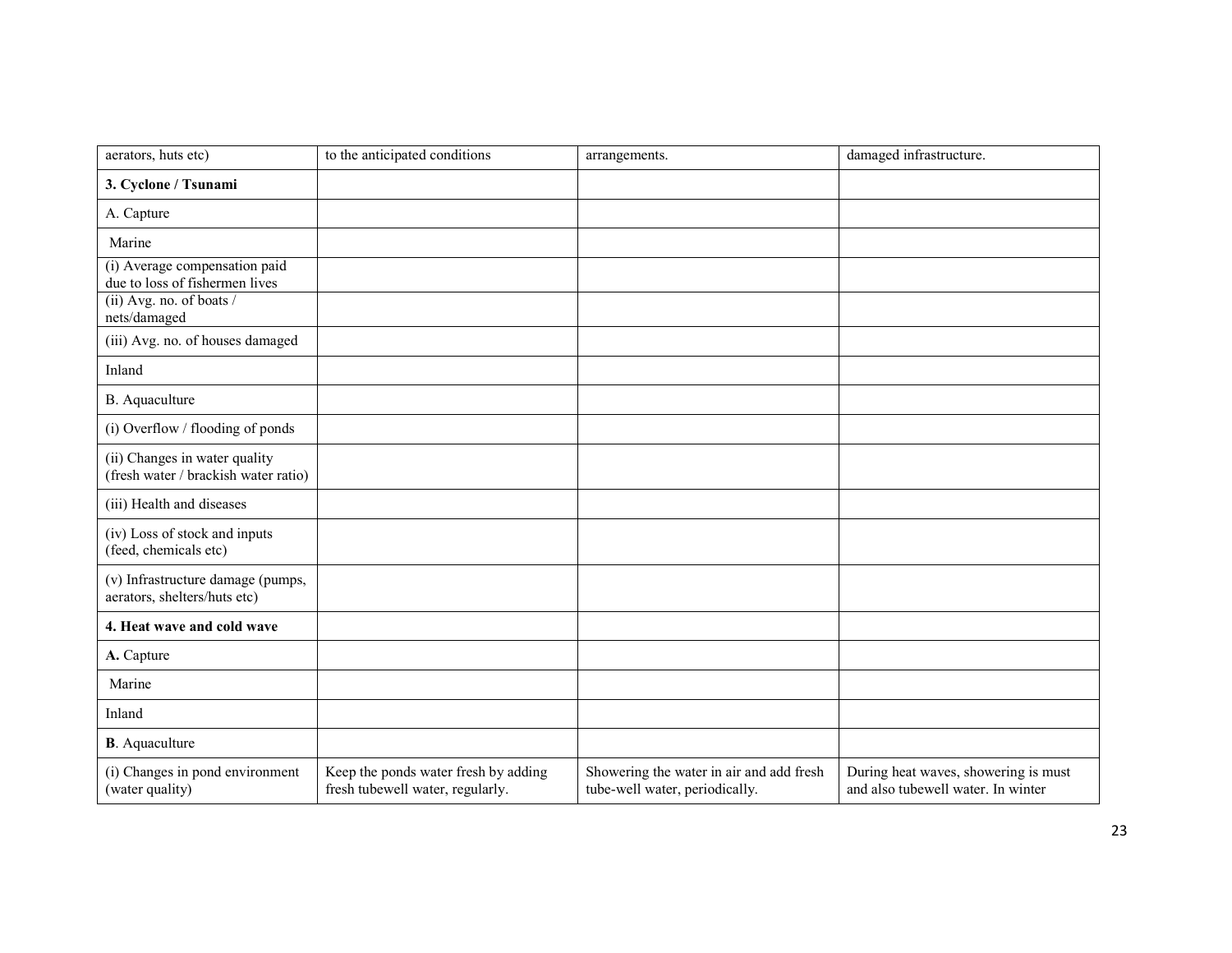| aerators, huts etc)                                                   | to the anticipated conditions                                            | arrangements.                                                              | damaged infrastructure.                                                    |
|-----------------------------------------------------------------------|--------------------------------------------------------------------------|----------------------------------------------------------------------------|----------------------------------------------------------------------------|
| 3. Cyclone / Tsunami                                                  |                                                                          |                                                                            |                                                                            |
| A. Capture                                                            |                                                                          |                                                                            |                                                                            |
| Marine                                                                |                                                                          |                                                                            |                                                                            |
| (i) Average compensation paid<br>due to loss of fishermen lives       |                                                                          |                                                                            |                                                                            |
| (ii) Avg. no. of boats /<br>nets/damaged                              |                                                                          |                                                                            |                                                                            |
| (iii) Avg. no. of houses damaged                                      |                                                                          |                                                                            |                                                                            |
| Inland                                                                |                                                                          |                                                                            |                                                                            |
| B. Aquaculture                                                        |                                                                          |                                                                            |                                                                            |
| (i) Overflow / flooding of ponds                                      |                                                                          |                                                                            |                                                                            |
| (ii) Changes in water quality<br>(fresh water / brackish water ratio) |                                                                          |                                                                            |                                                                            |
| (iii) Health and diseases                                             |                                                                          |                                                                            |                                                                            |
| (iv) Loss of stock and inputs<br>(feed, chemicals etc)                |                                                                          |                                                                            |                                                                            |
| (v) Infrastructure damage (pumps,<br>aerators, shelters/huts etc)     |                                                                          |                                                                            |                                                                            |
| 4. Heat wave and cold wave                                            |                                                                          |                                                                            |                                                                            |
| A. Capture                                                            |                                                                          |                                                                            |                                                                            |
| Marine                                                                |                                                                          |                                                                            |                                                                            |
| Inland                                                                |                                                                          |                                                                            |                                                                            |
| <b>B</b> . Aquaculture                                                |                                                                          |                                                                            |                                                                            |
| (i) Changes in pond environment<br>(water quality)                    | Keep the ponds water fresh by adding<br>fresh tubewell water, regularly. | Showering the water in air and add fresh<br>tube-well water, periodically. | During heat waves, showering is must<br>and also tubewell water. In winter |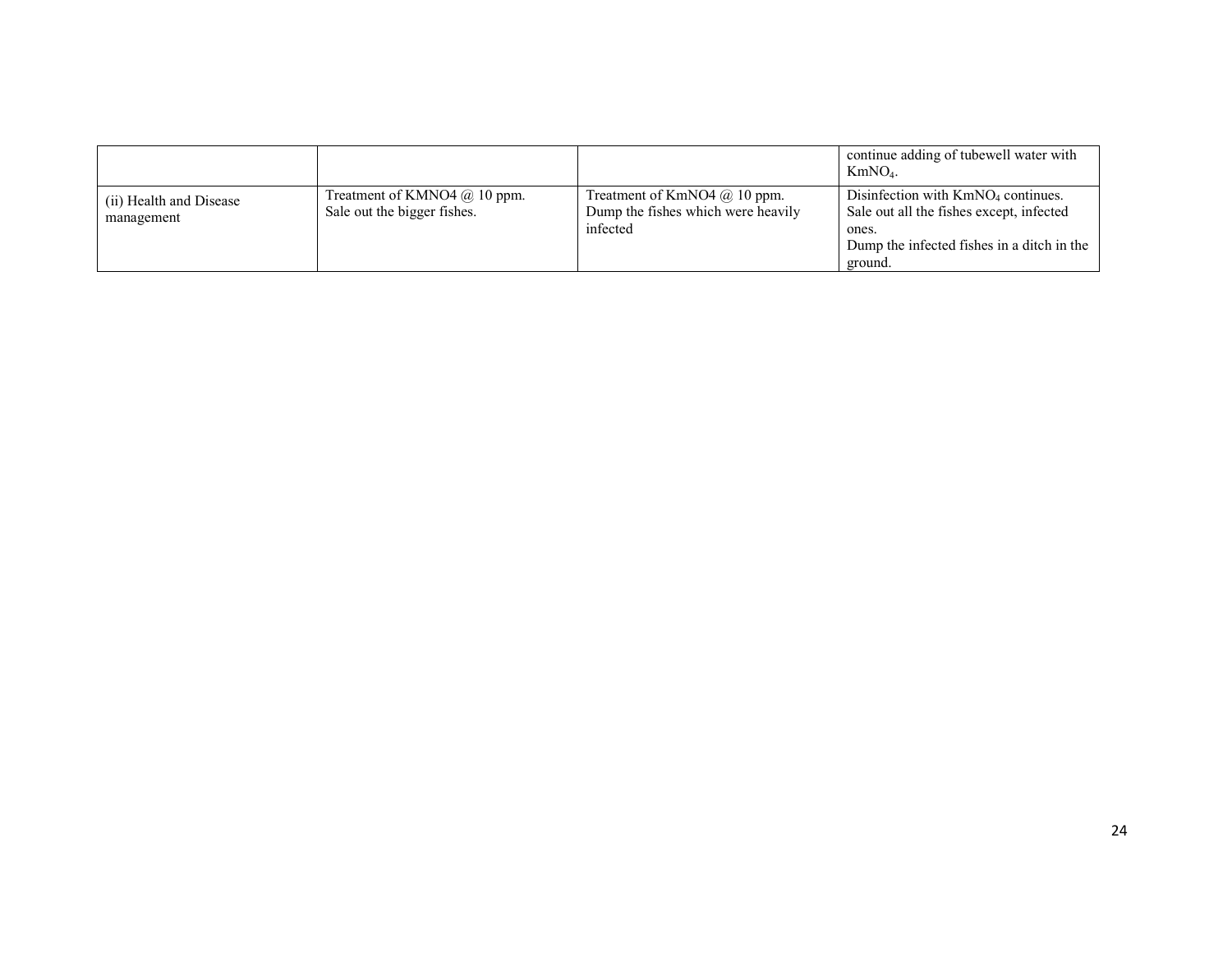|                                       |                                                               |                                                                                  | continue adding of tubewell water with<br>$KmNO4$ .                                                                                                |
|---------------------------------------|---------------------------------------------------------------|----------------------------------------------------------------------------------|----------------------------------------------------------------------------------------------------------------------------------------------------|
| (ii) Health and Disease<br>management | Treatment of KMNO4 $@$ 10 ppm.<br>Sale out the bigger fishes. | Treatment of KmNO4 $@$ 10 ppm.<br>Dump the fishes which were heavily<br>infected | Disinfection with $KmNO4$ continues.<br>Sale out all the fishes except, infected<br>ones.<br>Dump the infected fishes in a ditch in the<br>ground. |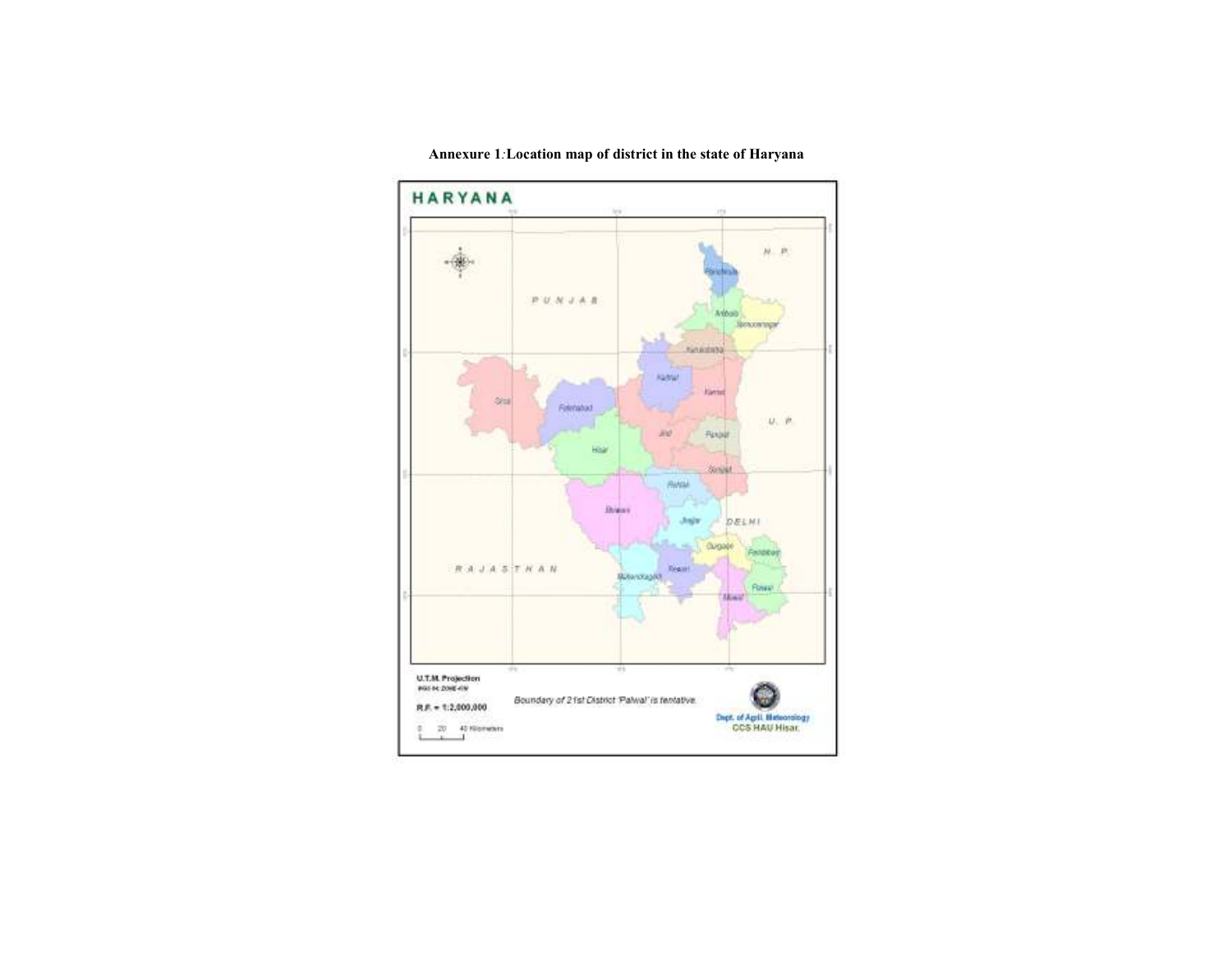

#### Annexure 1:Location map of district in the state of Haryana